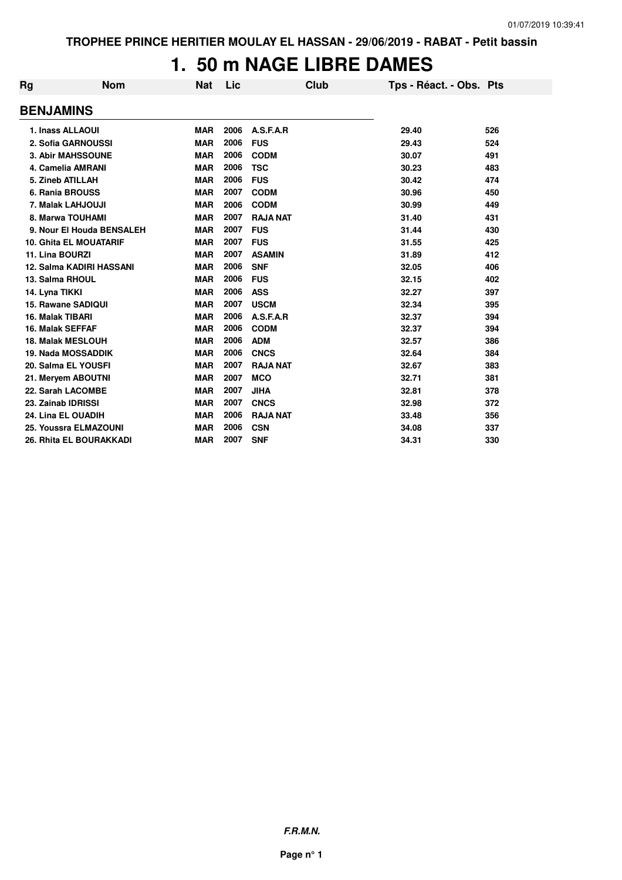## **1. 50 m NAGE LIBRE DAMES**

| Rg                      | <b>Nom</b>                    | <b>Nat</b> | Lic  | <b>Club</b>     | Tps - Réact. - Obs. Pts |     |
|-------------------------|-------------------------------|------------|------|-----------------|-------------------------|-----|
| <b>BENJAMINS</b>        |                               |            |      |                 |                         |     |
| 1. Inass ALLAOUI        |                               | <b>MAR</b> | 2006 | A.S.F.A.R       | 29.40                   | 526 |
|                         | 2. Sofia GARNOUSSI            | <b>MAR</b> | 2006 | <b>FUS</b>      | 29.43                   | 524 |
|                         | <b>3. Abir MAHSSOUNE</b>      | <b>MAR</b> | 2006 | <b>CODM</b>     | 30.07                   | 491 |
|                         | 4. Camelia AMRANI             | <b>MAR</b> | 2006 | <b>TSC</b>      | 30.23                   | 483 |
| 5. Zineb ATILLAH        |                               | <b>MAR</b> | 2006 | <b>FUS</b>      | 30.42                   | 474 |
|                         | 6. Rania BROUSS               | <b>MAR</b> | 2007 | <b>CODM</b>     | 30.96                   | 450 |
|                         | 7. Malak LAHJOUJI             | <b>MAR</b> | 2006 | <b>CODM</b>     | 30.99                   | 449 |
|                         | 8. Marwa TOUHAMI              | <b>MAR</b> | 2007 | <b>RAJA NAT</b> | 31.40                   | 431 |
|                         | 9. Nour El Houda BENSALEH     | <b>MAR</b> | 2007 | <b>FUS</b>      | 31.44                   | 430 |
|                         | <b>10. Ghita EL MOUATARIF</b> | <b>MAR</b> | 2007 | <b>FUS</b>      | 31.55                   | 425 |
| 11. Lina BOURZI         |                               | <b>MAR</b> | 2007 | <b>ASAMIN</b>   | 31.89                   | 412 |
|                         | 12. Salma KADIRI HASSANI      | <b>MAR</b> | 2006 | <b>SNF</b>      | 32.05                   | 406 |
| 13. Salma RHOUL         |                               | <b>MAR</b> | 2006 | <b>FUS</b>      | 32.15                   | 402 |
| 14. Lyna TIKKI          |                               | <b>MAR</b> | 2006 | <b>ASS</b>      | 32.27                   | 397 |
|                         | 15. Rawane SADIQUI            | <b>MAR</b> | 2007 | <b>USCM</b>     | 32.34                   | 395 |
| 16. Malak TIBARI        |                               | <b>MAR</b> | 2006 | A.S.F.A.R       | 32.37                   | 394 |
| <b>16. Malak SEFFAF</b> |                               | <b>MAR</b> | 2006 | <b>CODM</b>     | 32.37                   | 394 |
|                         | <b>18. Malak MESLOUH</b>      | <b>MAR</b> | 2006 | <b>ADM</b>      | 32.57                   | 386 |
|                         | 19. Nada MOSSADDIK            | <b>MAR</b> | 2006 | <b>CNCS</b>     | 32.64                   | 384 |
|                         | 20. Salma EL YOUSFI           | <b>MAR</b> | 2007 | <b>RAJA NAT</b> | 32.67                   | 383 |
|                         | 21. Meryem ABOUTNI            | <b>MAR</b> | 2007 | <b>MCO</b>      | 32.71                   | 381 |
|                         | 22. Sarah LACOMBE             | <b>MAR</b> | 2007 | <b>JIHA</b>     | 32.81                   | 378 |
| 23. Zainab IDRISSI      |                               | <b>MAR</b> | 2007 | <b>CNCS</b>     | 32.98                   | 372 |
|                         | 24. Lina EL OUADIH            | <b>MAR</b> | 2006 | <b>RAJA NAT</b> | 33.48                   | 356 |
|                         | 25. Youssra ELMAZOUNI         | <b>MAR</b> | 2006 | <b>CSN</b>      | 34.08                   | 337 |
|                         | 26. Rhita EL BOURAKKADI       | <b>MAR</b> | 2007 | <b>SNF</b>      | 34.31                   | 330 |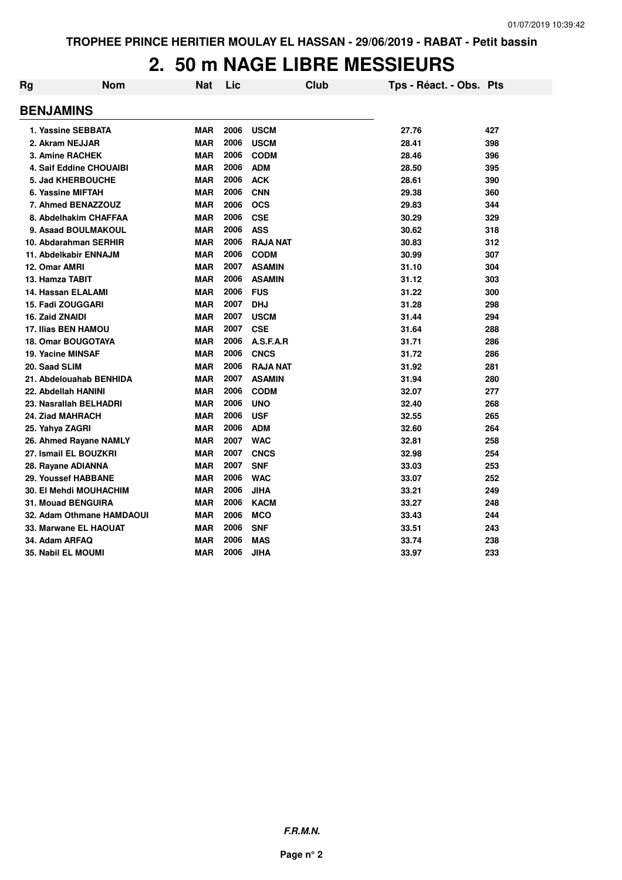# **2. 50 m NAGE LIBRE MESSIEURS**

| Rg                            | <b>Nom</b>                | Nat        | Lic  | Club            | Tps - Réact. - Obs. Pts |     |
|-------------------------------|---------------------------|------------|------|-----------------|-------------------------|-----|
| <b>BENJAMINS</b>              |                           |            |      |                 |                         |     |
| 1. Yassine SEBBATA            |                           | <b>MAR</b> | 2006 | <b>USCM</b>     | 27.76                   | 427 |
| 2. Akram NEJJAR               |                           | <b>MAR</b> | 2006 | <b>USCM</b>     | 28.41                   | 398 |
| 3. Amine RACHEK               |                           | <b>MAR</b> | 2006 | <b>CODM</b>     | 28.46                   | 396 |
|                               | 4. Saif Eddine CHOUAIBI   | <b>MAR</b> | 2006 | <b>ADM</b>      | 28.50                   | 395 |
| <b>5. Jad KHERBOUCHE</b>      |                           | <b>MAR</b> | 2006 | <b>ACK</b>      | 28.61                   | 390 |
| 6. Yassine MIFTAH             |                           | <b>MAR</b> | 2006 | <b>CNN</b>      | 29.38                   | 360 |
| 7. Ahmed BENAZZOUZ            |                           | <b>MAR</b> | 2006 | <b>OCS</b>      | 29.83                   | 344 |
|                               | 8. Abdelhakim CHAFFAA     | <b>MAR</b> | 2006 | <b>CSE</b>      | 30.29                   | 329 |
|                               | 9. Asaad BOULMAKOUL       | <b>MAR</b> | 2006 | <b>ASS</b>      | 30.62                   | 318 |
| 10. Abdarahman SERHIR         |                           | <b>MAR</b> | 2006 | <b>RAJA NAT</b> | 30.83                   | 312 |
| 11. Abdelkabir ENNAJM         |                           | <b>MAR</b> | 2006 | <b>CODM</b>     | 30.99                   | 307 |
| 12. Omar AMRI                 |                           | <b>MAR</b> | 2007 | <b>ASAMIN</b>   | 31.10                   | 304 |
| 13. Hamza TABIT               |                           | <b>MAR</b> | 2006 | <b>ASAMIN</b>   | 31.12                   | 303 |
| 14. Hassan ELALAMI            |                           | <b>MAR</b> | 2006 | <b>FUS</b>      | 31.22                   | 300 |
| 15. Fadi ZOUGGARI             |                           | <b>MAR</b> | 2007 | <b>DHJ</b>      | 31.28                   | 298 |
| 16. Zaid ZNAIDI               |                           | <b>MAR</b> | 2007 | <b>USCM</b>     | 31.44                   | 294 |
| 17. Ilias BEN HAMOU           |                           | <b>MAR</b> | 2007 | <b>CSE</b>      | 31.64                   | 288 |
| <b>18. Omar BOUGOTAYA</b>     |                           | <b>MAR</b> | 2006 | A.S.F.A.R       | 31.71                   | 286 |
| 19. Yacine MINSAF             |                           | <b>MAR</b> | 2006 | <b>CNCS</b>     | 31.72                   | 286 |
| 20. Saad SLIM                 |                           | <b>MAR</b> | 2006 | <b>RAJA NAT</b> | 31.92                   | 281 |
|                               | 21. Abdelouahab BENHIDA   | <b>MAR</b> | 2007 | <b>ASAMIN</b>   | 31.94                   | 280 |
| 22. Abdellah HANINI           |                           | <b>MAR</b> | 2006 | <b>CODM</b>     | 32.07                   | 277 |
| 23. Nasrallah BELHADRI        |                           | <b>MAR</b> | 2006 | <b>UNO</b>      | 32.40                   | 268 |
| 24. Ziad MAHRACH              |                           | <b>MAR</b> | 2006 | <b>USF</b>      | 32.55                   | 265 |
| 25. Yahya ZAGRI               |                           | <b>MAR</b> | 2006 | <b>ADM</b>      | 32.60                   | 264 |
| 26. Ahmed Rayane NAMLY        |                           | <b>MAR</b> | 2007 | <b>WAC</b>      | 32.81                   | 258 |
| 27. Ismail EL BOUZKRI         |                           | <b>MAR</b> | 2007 | <b>CNCS</b>     | 32.98                   | 254 |
| 28. Rayane ADIANNA            |                           | <b>MAR</b> | 2007 | <b>SNF</b>      | 33.03                   | 253 |
| 29. Youssef HABBANE           |                           | <b>MAR</b> | 2006 | <b>WAC</b>      | 33.07                   | 252 |
| <b>30. El Mehdi MOUHACHIM</b> |                           | <b>MAR</b> | 2006 | <b>JIHA</b>     | 33.21                   | 249 |
| <b>31. Mouad BENGUIRA</b>     |                           | <b>MAR</b> | 2006 | <b>KACM</b>     | 33.27                   | 248 |
|                               | 32. Adam Othmane HAMDAOUI | <b>MAR</b> | 2006 | <b>MCO</b>      | 33.43                   | 244 |
| 33. Marwane EL HAOUAT         |                           | <b>MAR</b> | 2006 | <b>SNF</b>      | 33.51                   | 243 |
| 34. Adam ARFAQ                |                           | <b>MAR</b> | 2006 | <b>MAS</b>      | 33.74                   | 238 |
| <b>35. Nabil EL MOUMI</b>     |                           | <b>MAR</b> | 2006 | JIHA            | 33.97                   | 233 |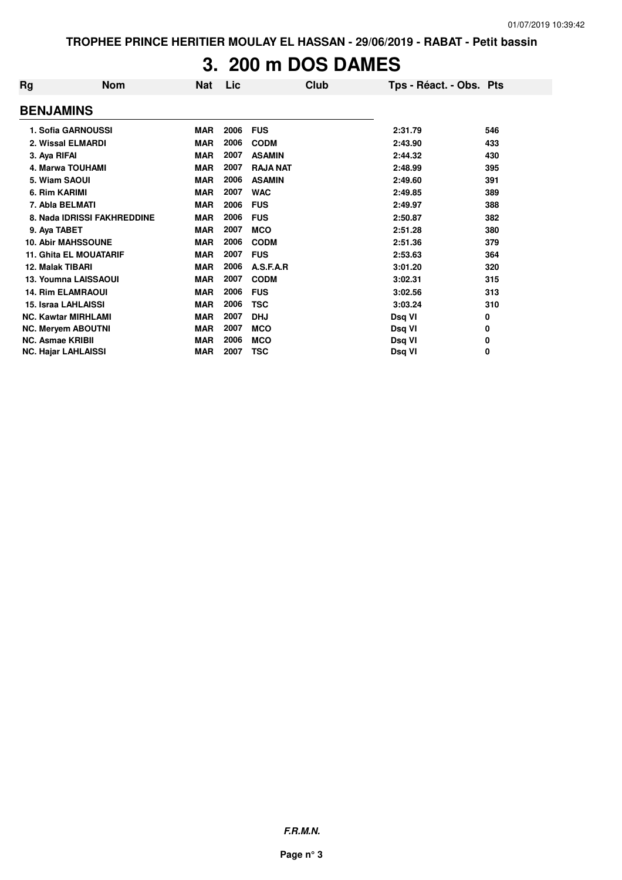**TROPHEE PRINCE HERITIER MOULAY EL HASSAN - 29/06/2019 - RABAT - Petit bassin**

# **3. 200 m DOS DAMES**

| Rg | <b>Nom</b>                    | <b>Nat</b> | Lic  | <b>Club</b>     | Tps - Réact. - Obs. Pts |     |
|----|-------------------------------|------------|------|-----------------|-------------------------|-----|
|    | <b>BENJAMINS</b>              |            |      |                 |                         |     |
|    | 1. Sofia GARNOUSSI            | <b>MAR</b> | 2006 | <b>FUS</b>      | 2:31.79                 | 546 |
|    | 2. Wissal ELMARDI             | <b>MAR</b> | 2006 | <b>CODM</b>     | 2:43.90                 | 433 |
|    | 3. Aya RIFAI                  | <b>MAR</b> | 2007 | <b>ASAMIN</b>   | 2:44.32                 | 430 |
|    | 4. Marwa TOUHAMI              | <b>MAR</b> | 2007 | <b>RAJA NAT</b> | 2:48.99                 | 395 |
|    | 5. Wiam SAOUI                 | <b>MAR</b> | 2006 | <b>ASAMIN</b>   | 2:49.60                 | 391 |
|    | 6. Rim KARIMI                 | <b>MAR</b> | 2007 | <b>WAC</b>      | 2:49.85                 | 389 |
|    | 7. Abla BELMATI               | <b>MAR</b> | 2006 | <b>FUS</b>      | 2:49.97                 | 388 |
|    | 8. Nada IDRISSI FAKHREDDINE   | <b>MAR</b> | 2006 | <b>FUS</b>      | 2:50.87                 | 382 |
|    | 9. Aya TABET                  | <b>MAR</b> | 2007 | <b>MCO</b>      | 2:51.28                 | 380 |
|    | <b>10. Abir MAHSSOUNE</b>     | <b>MAR</b> | 2006 | <b>CODM</b>     | 2:51.36                 | 379 |
|    | <b>11. Ghita EL MOUATARIF</b> | <b>MAR</b> | 2007 | <b>FUS</b>      | 2:53.63                 | 364 |
|    | 12. Malak TIBARI              | <b>MAR</b> | 2006 | A.S.F.A.R       | 3:01.20                 | 320 |
|    | 13. Youmna LAISSAOUI          | <b>MAR</b> | 2007 | <b>CODM</b>     | 3:02.31                 | 315 |
|    | <b>14. Rim ELAMRAOUI</b>      | <b>MAR</b> | 2006 | <b>FUS</b>      | 3:02.56                 | 313 |
|    | 15. Israa LAHLAISSI           | <b>MAR</b> | 2006 | <b>TSC</b>      | 3:03.24                 | 310 |
|    | <b>NC. Kawtar MIRHLAMI</b>    | <b>MAR</b> | 2007 | <b>DHJ</b>      | Dsq VI                  | 0   |
|    | <b>NC. Meryem ABOUTNI</b>     | <b>MAR</b> | 2007 | <b>MCO</b>      | Dsq VI                  | 0   |
|    | <b>NC. Asmae KRIBII</b>       | <b>MAR</b> | 2006 | <b>MCO</b>      | Dsq VI                  | 0   |
|    | <b>NC. Hajar LAHLAISSI</b>    | <b>MAR</b> | 2007 | <b>TSC</b>      | Dsq VI                  | 0   |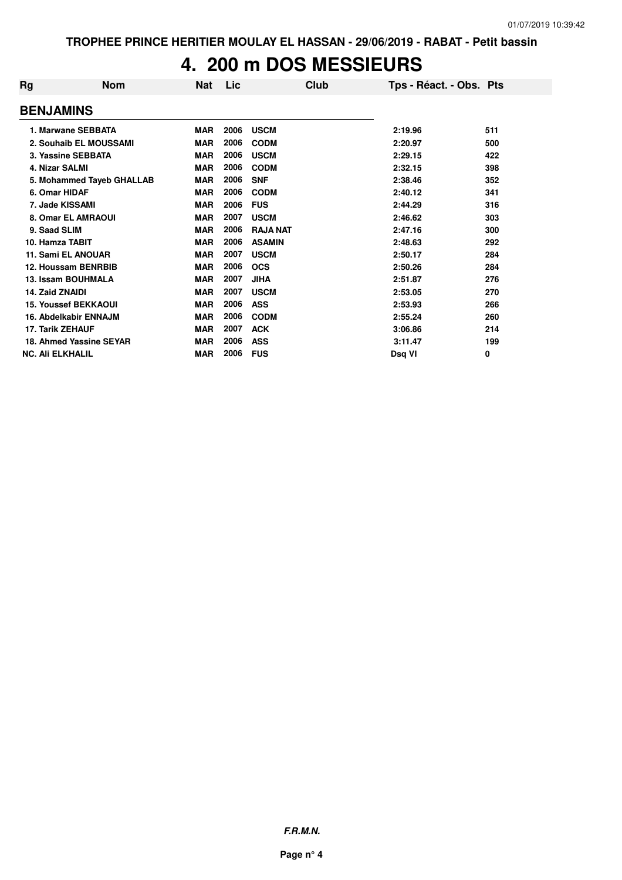## **4. 200 m DOS MESSIEURS**

| Rg                      | <b>Nom</b>                  | Nat        | Lic  | Club            | Tps - Réact. - Obs. Pts |     |
|-------------------------|-----------------------------|------------|------|-----------------|-------------------------|-----|
| <b>BENJAMINS</b>        |                             |            |      |                 |                         |     |
|                         | 1. Marwane SEBBATA          | <b>MAR</b> | 2006 | <b>USCM</b>     | 2:19.96                 | 511 |
|                         | 2. Souhaib EL MOUSSAMI      | <b>MAR</b> | 2006 | <b>CODM</b>     | 2:20.97                 | 500 |
|                         | 3. Yassine SEBBATA          | <b>MAR</b> | 2006 | <b>USCM</b>     | 2:29.15                 | 422 |
| <b>4. Nizar SALMI</b>   |                             | <b>MAR</b> | 2006 | <b>CODM</b>     | 2:32.15                 | 398 |
|                         | 5. Mohammed Tayeb GHALLAB   | <b>MAR</b> | 2006 | <b>SNF</b>      | 2:38.46                 | 352 |
| 6. Omar HIDAF           |                             | <b>MAR</b> | 2006 | <b>CODM</b>     | 2:40.12                 | 341 |
| 7. Jade KISSAMI         |                             | <b>MAR</b> | 2006 | <b>FUS</b>      | 2:44.29                 | 316 |
|                         | 8. Omar EL AMRAOUI          | <b>MAR</b> | 2007 | <b>USCM</b>     | 2:46.62                 | 303 |
| 9. Saad SLIM            |                             | <b>MAR</b> | 2006 | <b>RAJA NAT</b> | 2:47.16                 | 300 |
| 10. Hamza TABIT         |                             | <b>MAR</b> | 2006 | <b>ASAMIN</b>   | 2:48.63                 | 292 |
|                         | <b>11. Sami EL ANOUAR</b>   | <b>MAR</b> | 2007 | <b>USCM</b>     | 2:50.17                 | 284 |
|                         | 12. Houssam BENRBIB         | <b>MAR</b> | 2006 | <b>OCS</b>      | 2:50.26                 | 284 |
|                         | 13. Issam BOUHMALA          | <b>MAR</b> | 2007 | <b>JIHA</b>     | 2:51.87                 | 276 |
| 14. Zaid ZNAIDI         |                             | <b>MAR</b> | 2007 | <b>USCM</b>     | 2:53.05                 | 270 |
|                         | <b>15. Youssef BEKKAOUI</b> | <b>MAR</b> | 2006 | <b>ASS</b>      | 2:53.93                 | 266 |
|                         | 16. Abdelkabir ENNAJM       | <b>MAR</b> | 2006 | <b>CODM</b>     | 2:55.24                 | 260 |
| <b>17. Tarik ZEHAUF</b> |                             | <b>MAR</b> | 2007 | <b>ACK</b>      | 3:06.86                 | 214 |
|                         | 18. Ahmed Yassine SEYAR     | <b>MAR</b> | 2006 | <b>ASS</b>      | 3:11.47                 | 199 |
| <b>NC. Ali ELKHALIL</b> |                             | <b>MAR</b> | 2006 | <b>FUS</b>      | Dsg VI                  | 0   |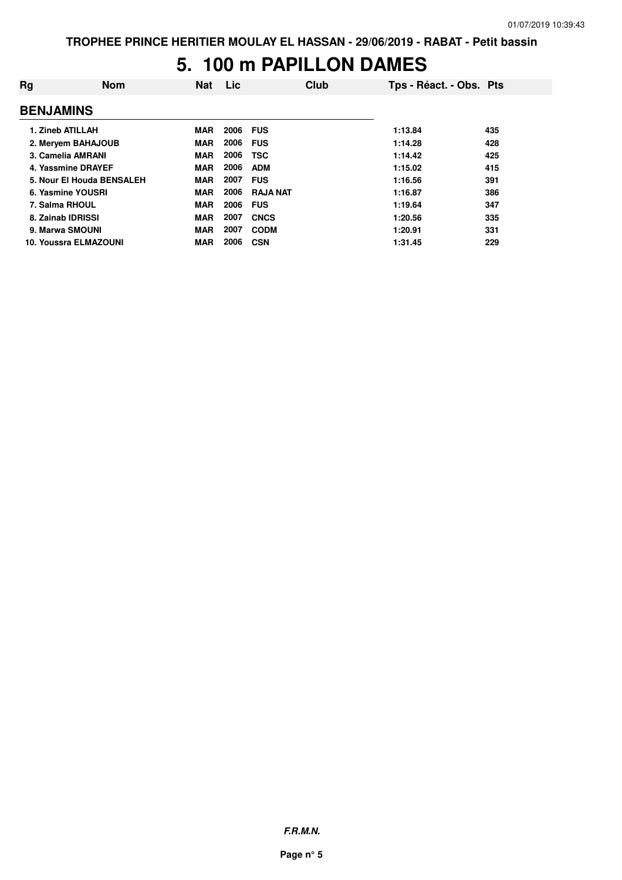#### **5. 100 m PAPILLON DAMES**

| Rg                | <b>Nom</b>                   | <b>Nat</b> | Lic  | Club            | Tps - Réact. - Obs. Pts |     |
|-------------------|------------------------------|------------|------|-----------------|-------------------------|-----|
| <b>BENJAMINS</b>  |                              |            |      |                 |                         |     |
| 1. Zineb ATILLAH  |                              | <b>MAR</b> | 2006 | <b>FUS</b>      | 1:13.84                 | 435 |
|                   | 2. Mervem BAHAJOUB           | <b>MAR</b> | 2006 | <b>FUS</b>      | 1:14.28                 | 428 |
|                   | 3. Camelia AMRANI            | <b>MAR</b> | 2006 | <b>TSC</b>      | 1:14.42                 | 425 |
|                   | 4. Yassmine DRAYEF           | <b>MAR</b> | 2006 | <b>ADM</b>      | 1:15.02                 | 415 |
|                   | 5. Nour El Houda BENSALEH    | <b>MAR</b> | 2007 | <b>FUS</b>      | 1:16.56                 | 391 |
|                   | 6. Yasmine YOUSRI            | <b>MAR</b> | 2006 | <b>RAJA NAT</b> | 1:16.87                 | 386 |
| 7. Salma RHOUL    |                              | <b>MAR</b> | 2006 | <b>FUS</b>      | 1:19.64                 | 347 |
| 8. Zainab IDRISSI |                              | <b>MAR</b> | 2007 | <b>CNCS</b>     | 1:20.56                 | 335 |
| 9. Marwa SMOUNI   |                              | <b>MAR</b> | 2007 | <b>CODM</b>     | 1:20.91                 | 331 |
|                   | <b>10. Youssra ELMAZOUNI</b> | <b>MAR</b> | 2006 | <b>CSN</b>      | 1:31.45                 | 229 |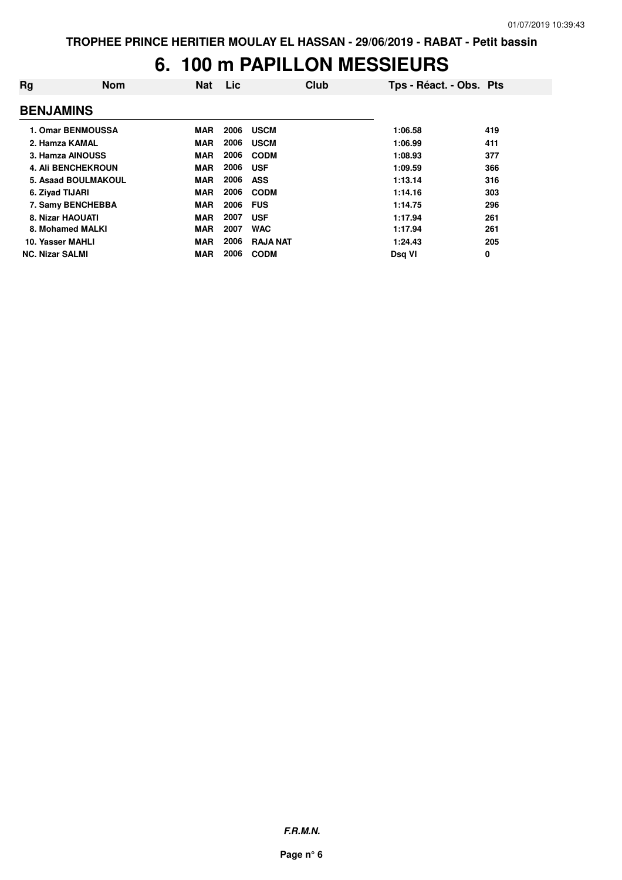## **6. 100 m PAPILLON MESSIEURS**

| Rg                     | <b>Nom</b>                | <b>Nat</b> | Lic  | Club            | Tps - Réact. - Obs. Pts |     |
|------------------------|---------------------------|------------|------|-----------------|-------------------------|-----|
| <b>BENJAMINS</b>       |                           |            |      |                 |                         |     |
|                        | 1. Omar BENMOUSSA         | <b>MAR</b> | 2006 | <b>USCM</b>     | 1:06.58                 | 419 |
|                        | 2. Hamza KAMAL            | <b>MAR</b> | 2006 | <b>USCM</b>     | 1:06.99                 | 411 |
|                        | 3. Hamza AINOUSS          | <b>MAR</b> | 2006 | <b>CODM</b>     | 1:08.93                 | 377 |
|                        | <b>4. Ali BENCHEKROUN</b> | <b>MAR</b> | 2006 | <b>USF</b>      | 1:09.59                 | 366 |
|                        | 5. Asaad BOULMAKOUL       | <b>MAR</b> | 2006 | <b>ASS</b>      | 1:13.14                 | 316 |
|                        | 6. Zivad TIJARI           | <b>MAR</b> | 2006 | <b>CODM</b>     | 1:14.16                 | 303 |
|                        | 7. Samy BENCHEBBA         | <b>MAR</b> | 2006 | <b>FUS</b>      | 1:14.75                 | 296 |
|                        | 8. Nizar HAOUATI          | <b>MAR</b> | 2007 | <b>USF</b>      | 1:17.94                 | 261 |
|                        | 8. Mohamed MALKI          | <b>MAR</b> | 2007 | <b>WAC</b>      | 1:17.94                 | 261 |
|                        | 10. Yasser MAHLI          | <b>MAR</b> | 2006 | <b>RAJA NAT</b> | 1:24.43                 | 205 |
| <b>NC. Nizar SALMI</b> |                           | <b>MAR</b> | 2006 | <b>CODM</b>     | Dsg VI                  | 0   |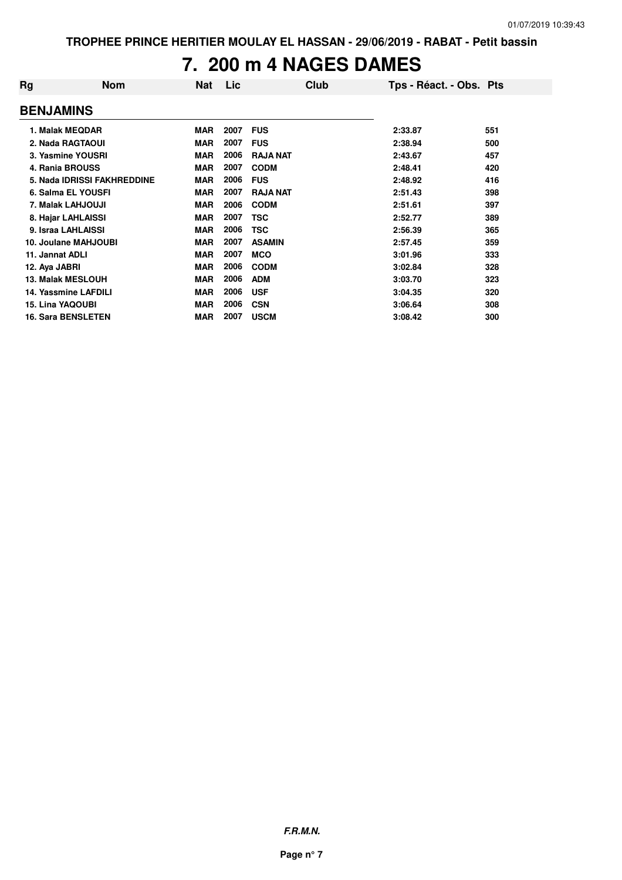# **7. 200 m 4 NAGES DAMES**

| Rg               | <b>Nom</b>                  | <b>Nat</b> | Lic  | Club            | Tps - Réact. - Obs. Pts |     |
|------------------|-----------------------------|------------|------|-----------------|-------------------------|-----|
| <b>BENJAMINS</b> |                             |            |      |                 |                         |     |
|                  | 1. Malak MEQDAR             | <b>MAR</b> | 2007 | <b>FUS</b>      | 2:33.87                 | 551 |
|                  | 2. Nada RAGTAOUI            | <b>MAR</b> | 2007 | <b>FUS</b>      | 2:38.94                 | 500 |
|                  | 3. Yasmine YOUSRI           | <b>MAR</b> | 2006 | <b>RAJA NAT</b> | 2:43.67                 | 457 |
|                  | 4. Rania BROUSS             | <b>MAR</b> | 2007 | <b>CODM</b>     | 2:48.41                 | 420 |
|                  | 5. Nada IDRISSI FAKHREDDINE | <b>MAR</b> | 2006 | <b>FUS</b>      | 2:48.92                 | 416 |
|                  | 6. Salma EL YOUSFI          | <b>MAR</b> | 2007 | <b>RAJA NAT</b> | 2:51.43                 | 398 |
|                  | 7. Malak LAHJOUJI           | <b>MAR</b> | 2006 | <b>CODM</b>     | 2:51.61                 | 397 |
|                  | 8. Hajar LAHLAISSI          | <b>MAR</b> | 2007 | TSC             | 2:52.77                 | 389 |
|                  | 9. Israa LAHLAISSI          | <b>MAR</b> | 2006 | <b>TSC</b>      | 2:56.39                 | 365 |
|                  | 10. Joulane MAHJOUBI        | <b>MAR</b> | 2007 | <b>ASAMIN</b>   | 2:57.45                 | 359 |
| 11. Jannat ADLI  |                             | <b>MAR</b> | 2007 | <b>MCO</b>      | 3:01.96                 | 333 |
| 12. Aya JABRI    |                             | <b>MAR</b> | 2006 | <b>CODM</b>     | 3:02.84                 | 328 |
|                  | <b>13. Malak MESLOUH</b>    | <b>MAR</b> | 2006 | <b>ADM</b>      | 3:03.70                 | 323 |
|                  | 14. Yassmine LAFDILI        | <b>MAR</b> | 2006 | <b>USF</b>      | 3:04.35                 | 320 |
|                  | <b>15. Lina YAQOUBI</b>     | <b>MAR</b> | 2006 | <b>CSN</b>      | 3:06.64                 | 308 |
|                  | <b>16. Sara BENSLETEN</b>   | <b>MAR</b> | 2007 | <b>USCM</b>     | 3:08.42                 | 300 |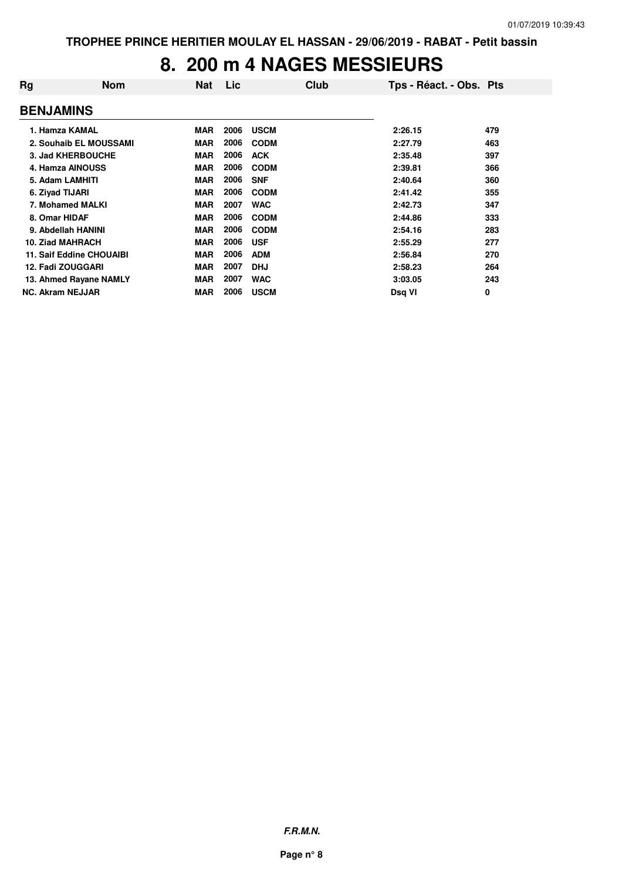## **8. 200 m 4 NAGES MESSIEURS**

| Rg                      | <b>Nom</b>               | Nat        | <b>Lic</b> | Club        | Tps - Réact. - Obs. Pts |     |
|-------------------------|--------------------------|------------|------------|-------------|-------------------------|-----|
| <b>BENJAMINS</b>        |                          |            |            |             |                         |     |
| 1. Hamza KAMAL          |                          | <b>MAR</b> | 2006       | <b>USCM</b> | 2:26.15                 | 479 |
|                         | 2. Souhaib EL MOUSSAMI   | <b>MAR</b> | 2006       | <b>CODM</b> | 2:27.79                 | 463 |
|                         | 3. Jad KHERBOUCHE        | <b>MAR</b> | 2006       | <b>ACK</b>  | 2:35.48                 | 397 |
|                         | 4. Hamza AINOUSS         | <b>MAR</b> | 2006       | <b>CODM</b> | 2:39.81                 | 366 |
| 5. Adam LAMHITI         |                          | <b>MAR</b> | 2006       | <b>SNF</b>  | 2:40.64                 | 360 |
| 6. Ziyad TIJARI         |                          | <b>MAR</b> | 2006       | <b>CODM</b> | 2:41.42                 | 355 |
|                         | 7. Mohamed MALKI         | <b>MAR</b> | 2007       | <b>WAC</b>  | 2:42.73                 | 347 |
| 8. Omar HIDAF           |                          | <b>MAR</b> | 2006       | <b>CODM</b> | 2:44.86                 | 333 |
|                         | 9. Abdellah HANINI       | <b>MAR</b> | 2006       | <b>CODM</b> | 2:54.16                 | 283 |
| 10. Ziad MAHRACH        |                          | <b>MAR</b> | 2006       | <b>USF</b>  | 2:55.29                 | 277 |
|                         | 11. Saif Eddine CHOUAIBI | <b>MAR</b> | 2006       | <b>ADM</b>  | 2:56.84                 | 270 |
| 12. Fadi ZOUGGARI       |                          | <b>MAR</b> | 2007       | <b>DHJ</b>  | 2:58.23                 | 264 |
|                         | 13. Ahmed Rayane NAMLY   | <b>MAR</b> | 2007       | <b>WAC</b>  | 3:03.05                 | 243 |
| <b>NC. Akram NEJJAR</b> |                          | <b>MAR</b> | 2006       | <b>USCM</b> | Dsq VI                  | 0   |
|                         |                          |            |            |             |                         |     |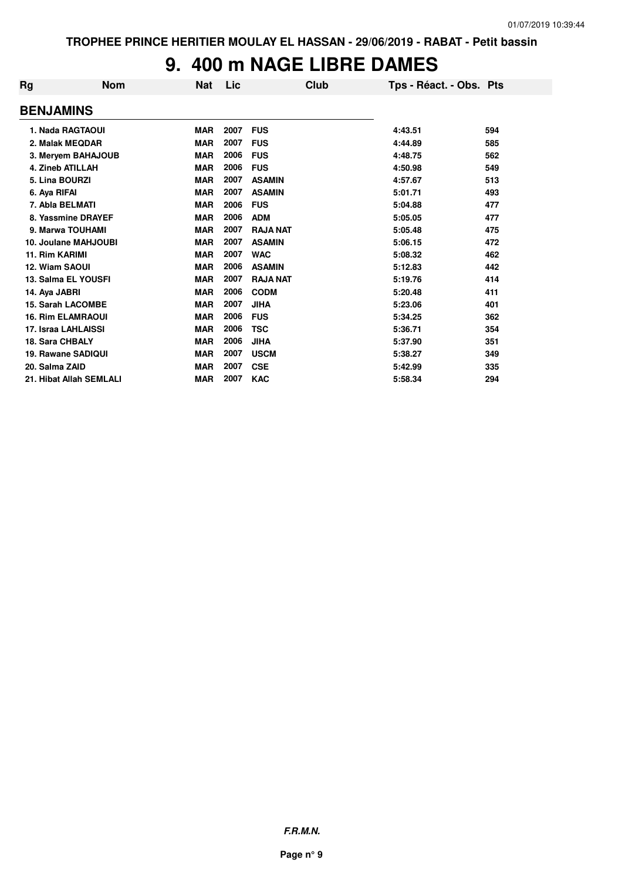## **9. 400 m NAGE LIBRE DAMES**

| Rg                       | <b>Nom</b><br><b>Nat</b> | Lic  |                 | Club | Tps - Réact. - Obs. Pts |     |
|--------------------------|--------------------------|------|-----------------|------|-------------------------|-----|
| <b>BENJAMINS</b>         |                          |      |                 |      |                         |     |
| 1. Nada RAGTAOUI         | <b>MAR</b>               | 2007 | <b>FUS</b>      |      | 4:43.51                 | 594 |
| 2. Malak MEQDAR          | <b>MAR</b>               | 2007 | <b>FUS</b>      |      | 4:44.89                 | 585 |
| 3. Meryem BAHAJOUB       | <b>MAR</b>               | 2006 | <b>FUS</b>      |      | 4:48.75                 | 562 |
| 4. Zineb ATILLAH         | <b>MAR</b>               | 2006 | <b>FUS</b>      |      | 4:50.98                 | 549 |
| 5. Lina BOURZI           | <b>MAR</b>               | 2007 | <b>ASAMIN</b>   |      | 4:57.67                 | 513 |
| 6. Aya RIFAI             | <b>MAR</b>               | 2007 | <b>ASAMIN</b>   |      | 5:01.71                 | 493 |
| 7. Abla BELMATI          | <b>MAR</b>               | 2006 | <b>FUS</b>      |      | 5:04.88                 | 477 |
| 8. Yassmine DRAYEF       | <b>MAR</b>               | 2006 | <b>ADM</b>      |      | 5:05.05                 | 477 |
| 9. Marwa TOUHAMI         | <b>MAR</b>               | 2007 | <b>RAJA NAT</b> |      | 5:05.48                 | 475 |
| 10. Joulane MAHJOUBI     | <b>MAR</b>               | 2007 | <b>ASAMIN</b>   |      | 5:06.15                 | 472 |
| 11. Rim KARIMI           | <b>MAR</b>               | 2007 | <b>WAC</b>      |      | 5:08.32                 | 462 |
| 12. Wiam SAOUI           | <b>MAR</b>               | 2006 | <b>ASAMIN</b>   |      | 5:12.83                 | 442 |
| 13. Salma EL YOUSFI      | <b>MAR</b>               | 2007 | <b>RAJA NAT</b> |      | 5:19.76                 | 414 |
| 14. Aya JABRI            | <b>MAR</b>               | 2006 | <b>CODM</b>     |      | 5:20.48                 | 411 |
| <b>15. Sarah LACOMBE</b> | <b>MAR</b>               | 2007 | <b>JIHA</b>     |      | 5:23.06                 | 401 |
| <b>16. Rim ELAMRAOUI</b> | <b>MAR</b>               | 2006 | <b>FUS</b>      |      | 5:34.25                 | 362 |
| 17. Israa LAHLAISSI      | <b>MAR</b>               | 2006 | <b>TSC</b>      |      | 5:36.71                 | 354 |
| 18. Sara CHBALY          | <b>MAR</b>               | 2006 | <b>JIHA</b>     |      | 5:37.90                 | 351 |
| 19. Rawane SADIQUI       | <b>MAR</b>               | 2007 | <b>USCM</b>     |      | 5:38.27                 | 349 |
| 20. Salma ZAID           | <b>MAR</b>               | 2007 | <b>CSE</b>      |      | 5:42.99                 | 335 |
| 21. Hibat Allah SEMLALI  | <b>MAR</b>               | 2007 | <b>KAC</b>      |      | 5:58.34                 | 294 |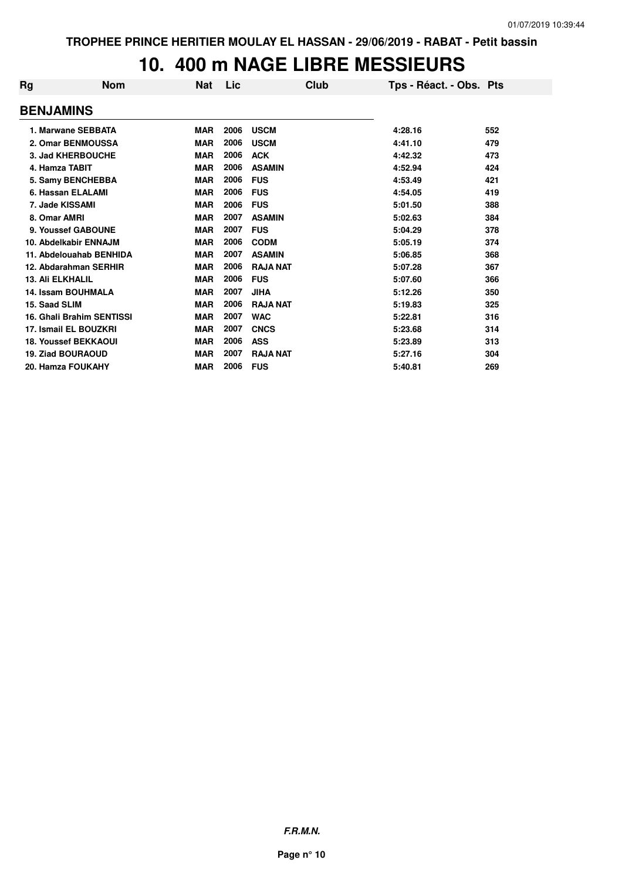## **10. 400 m NAGE LIBRE MESSIEURS**

| Rg                               | <b>Nom</b> | <b>Nat</b> | Lic  | Club            | Tps - Réact. - Obs. Pts |     |
|----------------------------------|------------|------------|------|-----------------|-------------------------|-----|
| <b>BENJAMINS</b>                 |            |            |      |                 |                         |     |
| 1. Marwane SEBBATA               |            | <b>MAR</b> | 2006 | <b>USCM</b>     | 4:28.16                 | 552 |
| 2. Omar BENMOUSSA                |            | <b>MAR</b> | 2006 | <b>USCM</b>     | 4:41.10                 | 479 |
| 3. Jad KHERBOUCHE                |            | <b>MAR</b> | 2006 | <b>ACK</b>      | 4:42.32                 | 473 |
| 4. Hamza TABIT                   |            | <b>MAR</b> | 2006 | <b>ASAMIN</b>   | 4:52.94                 | 424 |
| 5. Samy BENCHEBBA                |            | <b>MAR</b> | 2006 | <b>FUS</b>      | 4:53.49                 | 421 |
| 6. Hassan ELALAMI                |            | <b>MAR</b> | 2006 | <b>FUS</b>      | 4:54.05                 | 419 |
| 7. Jade KISSAMI                  |            | <b>MAR</b> | 2006 | <b>FUS</b>      | 5:01.50                 | 388 |
| 8. Omar AMRI                     |            | <b>MAR</b> | 2007 | <b>ASAMIN</b>   | 5:02.63                 | 384 |
| 9. Youssef GABOUNE               |            | <b>MAR</b> | 2007 | <b>FUS</b>      | 5:04.29                 | 378 |
| 10. Abdelkabir ENNAJM            |            | <b>MAR</b> | 2006 | <b>CODM</b>     | 5:05.19                 | 374 |
| 11. Abdelouahab BENHIDA          |            | <b>MAR</b> | 2007 | <b>ASAMIN</b>   | 5:06.85                 | 368 |
| 12. Abdarahman SERHIR            |            | <b>MAR</b> | 2006 | <b>RAJA NAT</b> | 5:07.28                 | 367 |
| <b>13. Ali ELKHALIL</b>          |            | <b>MAR</b> | 2006 | <b>FUS</b>      | 5:07.60                 | 366 |
| 14. Issam BOUHMALA               |            | <b>MAR</b> | 2007 | <b>JIHA</b>     | 5:12.26                 | 350 |
| 15. Saad SLIM                    |            | <b>MAR</b> | 2006 | <b>RAJA NAT</b> | 5:19.83                 | 325 |
| <b>16. Ghali Brahim SENTISSI</b> |            | <b>MAR</b> | 2007 | <b>WAC</b>      | 5:22.81                 | 316 |
| 17. Ismail EL BOUZKRI            |            | <b>MAR</b> | 2007 | <b>CNCS</b>     | 5:23.68                 | 314 |
| <b>18. Youssef BEKKAOUI</b>      |            | <b>MAR</b> | 2006 | <b>ASS</b>      | 5:23.89                 | 313 |
| <b>19. Ziad BOURAOUD</b>         |            | <b>MAR</b> | 2007 | <b>RAJA NAT</b> | 5:27.16                 | 304 |
| 20. Hamza FOUKAHY                |            | <b>MAR</b> | 2006 | <b>FUS</b>      | 5:40.81                 | 269 |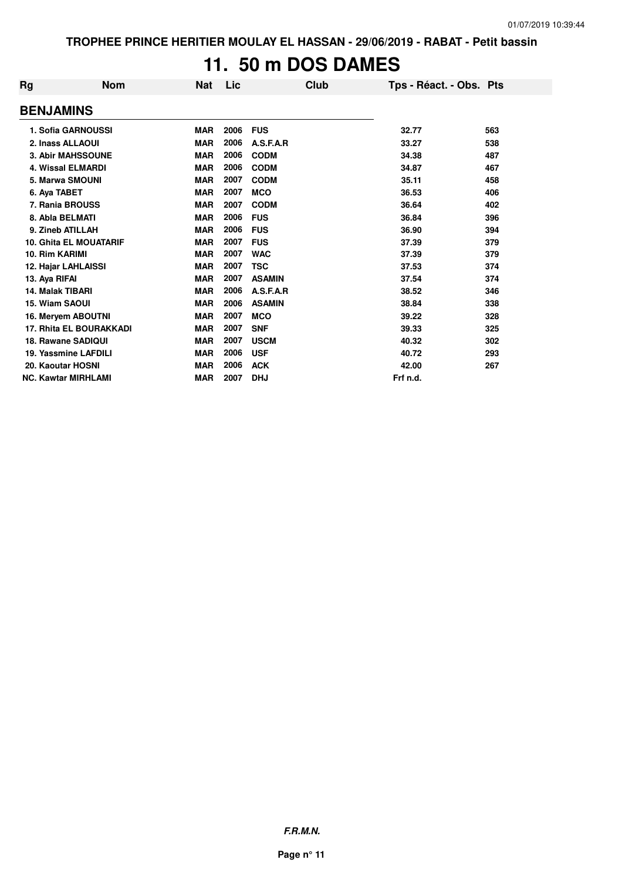**TROPHEE PRINCE HERITIER MOULAY EL HASSAN - 29/06/2019 - RABAT - Petit bassin**

# **11. 50 m DOS DAMES**

| Rg                             | <b>Nom</b> | <b>Nat</b> | Lic  | Club          | Tps - Réact. - Obs. Pts |     |
|--------------------------------|------------|------------|------|---------------|-------------------------|-----|
| <b>BENJAMINS</b>               |            |            |      |               |                         |     |
| 1. Sofia GARNOUSSI             |            | <b>MAR</b> | 2006 | <b>FUS</b>    | 32.77                   | 563 |
| 2. Inass ALLAOUI               |            | <b>MAR</b> | 2006 | A.S.F.A.R     | 33.27                   | 538 |
| 3. Abir MAHSSOUNE              |            | <b>MAR</b> | 2006 | <b>CODM</b>   | 34.38                   | 487 |
| <b>4. Wissal ELMARDI</b>       |            | <b>MAR</b> | 2006 | <b>CODM</b>   | 34.87                   | 467 |
| 5. Marwa SMOUNI                |            | <b>MAR</b> | 2007 | <b>CODM</b>   | 35.11                   | 458 |
| 6. Aya TABET                   |            | <b>MAR</b> | 2007 | <b>MCO</b>    | 36.53                   | 406 |
| 7. Rania BROUSS                |            | <b>MAR</b> | 2007 | <b>CODM</b>   | 36.64                   | 402 |
| 8. Abla BELMATI                |            | <b>MAR</b> | 2006 | <b>FUS</b>    | 36.84                   | 396 |
| 9. Zineb ATILLAH               |            | <b>MAR</b> | 2006 | <b>FUS</b>    | 36.90                   | 394 |
| <b>10. Ghita EL MOUATARIF</b>  |            | <b>MAR</b> | 2007 | <b>FUS</b>    | 37.39                   | 379 |
| 10. Rim KARIMI                 |            | <b>MAR</b> | 2007 | <b>WAC</b>    | 37.39                   | 379 |
| 12. Hajar LAHLAISSI            |            | <b>MAR</b> | 2007 | <b>TSC</b>    | 37.53                   | 374 |
| 13. Aya RIFAI                  |            | <b>MAR</b> | 2007 | <b>ASAMIN</b> | 37.54                   | 374 |
| 14. Malak TIBARI               |            | <b>MAR</b> | 2006 | A.S.F.A.R     | 38.52                   | 346 |
| 15. Wiam SAOUI                 |            | <b>MAR</b> | 2006 | <b>ASAMIN</b> | 38.84                   | 338 |
| 16. Meryem ABOUTNI             |            | <b>MAR</b> | 2007 | <b>MCO</b>    | 39.22                   | 328 |
| <b>17. Rhita EL BOURAKKADI</b> |            | <b>MAR</b> | 2007 | <b>SNF</b>    | 39.33                   | 325 |
| 18. Rawane SADIQUI             |            | <b>MAR</b> | 2007 | <b>USCM</b>   | 40.32                   | 302 |
| 19. Yassmine LAFDILI           |            | <b>MAR</b> | 2006 | <b>USF</b>    | 40.72                   | 293 |
| 20. Kaoutar HOSNI              |            | <b>MAR</b> | 2006 | <b>ACK</b>    | 42.00                   | 267 |
| <b>NC. Kawtar MIRHLAMI</b>     |            | <b>MAR</b> | 2007 | <b>DHJ</b>    | Frf n.d.                |     |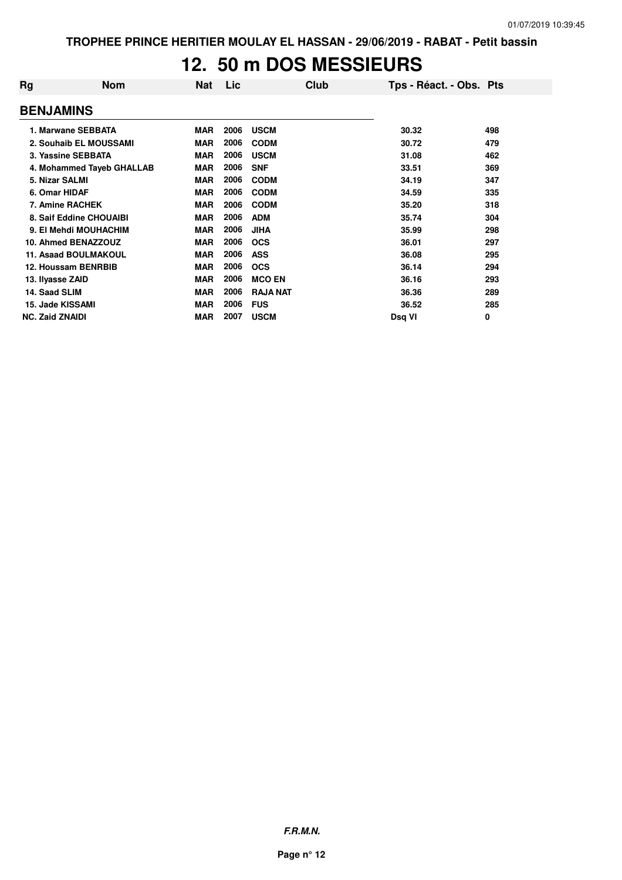## **12. 50 m DOS MESSIEURS**

| Rg                     | <b>Nom</b>                  | <b>Nat</b> | Lic  | Club            | Tps - Réact. - Obs. Pts |     |
|------------------------|-----------------------------|------------|------|-----------------|-------------------------|-----|
| <b>BENJAMINS</b>       |                             |            |      |                 |                         |     |
|                        | 1. Marwane SEBBATA          | <b>MAR</b> | 2006 | <b>USCM</b>     | 30.32                   | 498 |
|                        | 2. Souhaib EL MOUSSAMI      | <b>MAR</b> | 2006 | <b>CODM</b>     | 30.72                   | 479 |
|                        | 3. Yassine SEBBATA          | <b>MAR</b> | 2006 | <b>USCM</b>     | 31.08                   | 462 |
|                        | 4. Mohammed Tayeb GHALLAB   | <b>MAR</b> | 2006 | <b>SNF</b>      | 33.51                   | 369 |
| 5. Nizar SALMI         |                             | <b>MAR</b> | 2006 | <b>CODM</b>     | 34.19                   | 347 |
| 6. Omar HIDAF          |                             | <b>MAR</b> | 2006 | <b>CODM</b>     | 34.59                   | 335 |
|                        | 7. Amine RACHEK             | <b>MAR</b> | 2006 | <b>CODM</b>     | 35.20                   | 318 |
|                        | 8. Saif Eddine CHOUAIBI     | <b>MAR</b> | 2006 | <b>ADM</b>      | 35.74                   | 304 |
|                        | 9. El Mehdi MOUHACHIM       | <b>MAR</b> | 2006 | <b>JIHA</b>     | 35.99                   | 298 |
|                        | 10. Ahmed BENAZZOUZ         | <b>MAR</b> | 2006 | <b>OCS</b>      | 36.01                   | 297 |
|                        | <b>11. Asaad BOULMAKOUL</b> | <b>MAR</b> | 2006 | <b>ASS</b>      | 36.08                   | 295 |
|                        | 12. Houssam BENRBIB         | <b>MAR</b> | 2006 | <b>OCS</b>      | 36.14                   | 294 |
| 13. Ilyasse ZAID       |                             | <b>MAR</b> | 2006 | <b>MCO EN</b>   | 36.16                   | 293 |
| 14. Saad SLIM          |                             | <b>MAR</b> | 2006 | <b>RAJA NAT</b> | 36.36                   | 289 |
|                        | 15. Jade KISSAMI            | <b>MAR</b> | 2006 | <b>FUS</b>      | 36.52                   | 285 |
| <b>NC. Zaid ZNAIDI</b> |                             | <b>MAR</b> | 2007 | <b>USCM</b>     | Dsq VI                  | 0   |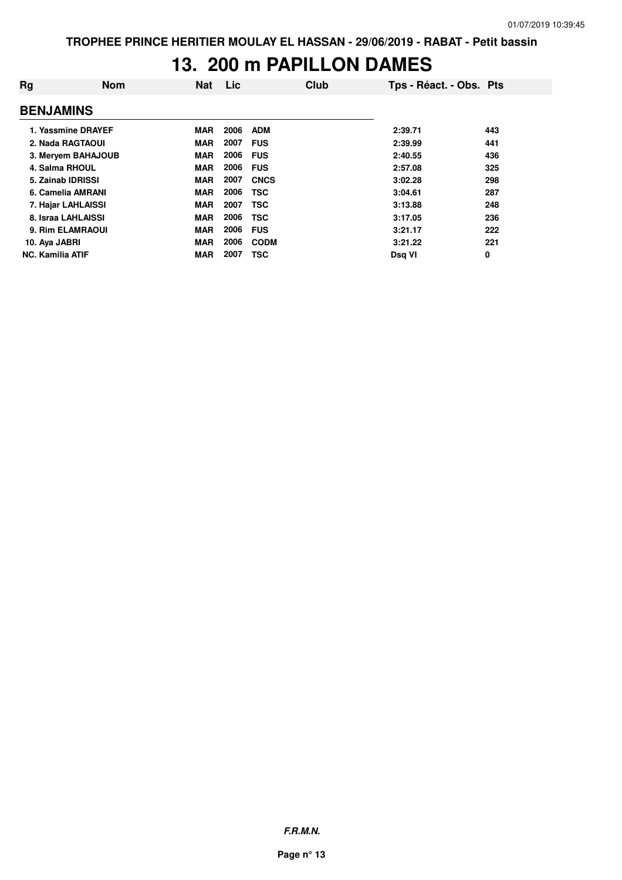## **13. 200 m PAPILLON DAMES**

| Rg                      | <b>Nom</b> | <b>Nat</b> | Lic  | Club        | Tps - Réact. - Obs. Pts |     |
|-------------------------|------------|------------|------|-------------|-------------------------|-----|
| <b>BENJAMINS</b>        |            |            |      |             |                         |     |
| 1. Yassmine DRAYEF      |            | <b>MAR</b> | 2006 | <b>ADM</b>  | 2:39.71                 | 443 |
| 2. Nada RAGTAOUI        |            | <b>MAR</b> | 2007 | <b>FUS</b>  | 2:39.99                 | 441 |
| 3. Meryem BAHAJOUB      |            | <b>MAR</b> | 2006 | <b>FUS</b>  | 2:40.55                 | 436 |
| 4. Salma RHOUL          |            | <b>MAR</b> | 2006 | <b>FUS</b>  | 2:57.08                 | 325 |
| 5. Zainab IDRISSI       |            | <b>MAR</b> | 2007 | <b>CNCS</b> | 3:02.28                 | 298 |
| 6. Camelia AMRANI       |            | <b>MAR</b> | 2006 | <b>TSC</b>  | 3:04.61                 | 287 |
| 7. Hajar LAHLAISSI      |            | <b>MAR</b> | 2007 | <b>TSC</b>  | 3:13.88                 | 248 |
| 8. Israa LAHLAISSI      |            | <b>MAR</b> | 2006 | <b>TSC</b>  | 3:17.05                 | 236 |
| 9. Rim ELAMRAOUI        |            | <b>MAR</b> | 2006 | <b>FUS</b>  | 3:21.17                 | 222 |
| 10. Aya JABRI           |            | <b>MAR</b> | 2006 | <b>CODM</b> | 3:21.22                 | 221 |
| <b>NC. Kamilia ATIF</b> |            | <b>MAR</b> | 2007 | <b>TSC</b>  | Dsg VI                  | 0   |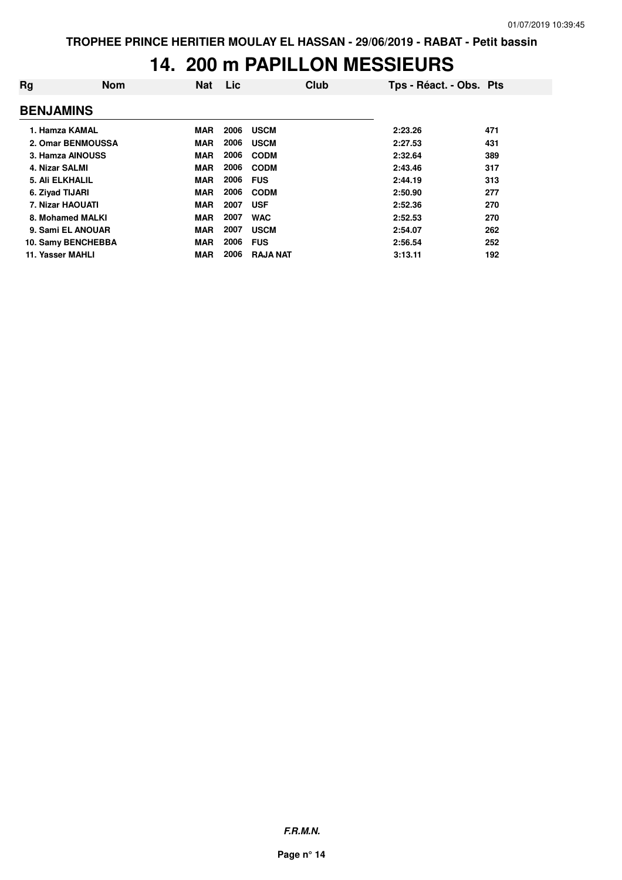#### **14. 200 m PAPILLON MESSIEURS**

| Rg                      | <b>Nom</b>         | <b>Nat</b> | Lic  | Club            | Tps - Réact. - Obs. Pts |     |
|-------------------------|--------------------|------------|------|-----------------|-------------------------|-----|
| <b>BENJAMINS</b>        |                    |            |      |                 |                         |     |
| 1. Hamza KAMAL          |                    | <b>MAR</b> | 2006 | <b>USCM</b>     | 2:23.26                 | 471 |
|                         | 2. Omar BENMOUSSA  | <b>MAR</b> | 2006 | <b>USCM</b>     | 2:27.53                 | 431 |
|                         | 3. Hamza AINOUSS   | <b>MAR</b> | 2006 | <b>CODM</b>     | 2:32.64                 | 389 |
| 4. Nizar SALMI          |                    | <b>MAR</b> | 2006 | <b>CODM</b>     | 2:43.46                 | 317 |
| 5. Ali ELKHALIL         |                    | <b>MAR</b> | 2006 | <b>FUS</b>      | 2:44.19                 | 313 |
| 6. Zivad TIJARI         |                    | <b>MAR</b> | 2006 | <b>CODM</b>     | 2:50.90                 | 277 |
| <b>7. Nizar HAOUATI</b> |                    | <b>MAR</b> | 2007 | <b>USF</b>      | 2:52.36                 | 270 |
|                         | 8. Mohamed MALKI   | <b>MAR</b> | 2007 | <b>WAC</b>      | 2:52.53                 | 270 |
|                         | 9. Sami EL ANOUAR  | <b>MAR</b> | 2007 | <b>USCM</b>     | 2:54.07                 | 262 |
|                         | 10. Samy BENCHEBBA | <b>MAR</b> | 2006 | <b>FUS</b>      | 2:56.54                 | 252 |
| 11. Yasser MAHLI        |                    | <b>MAR</b> | 2006 | <b>RAJA NAT</b> | 3:13.11                 | 192 |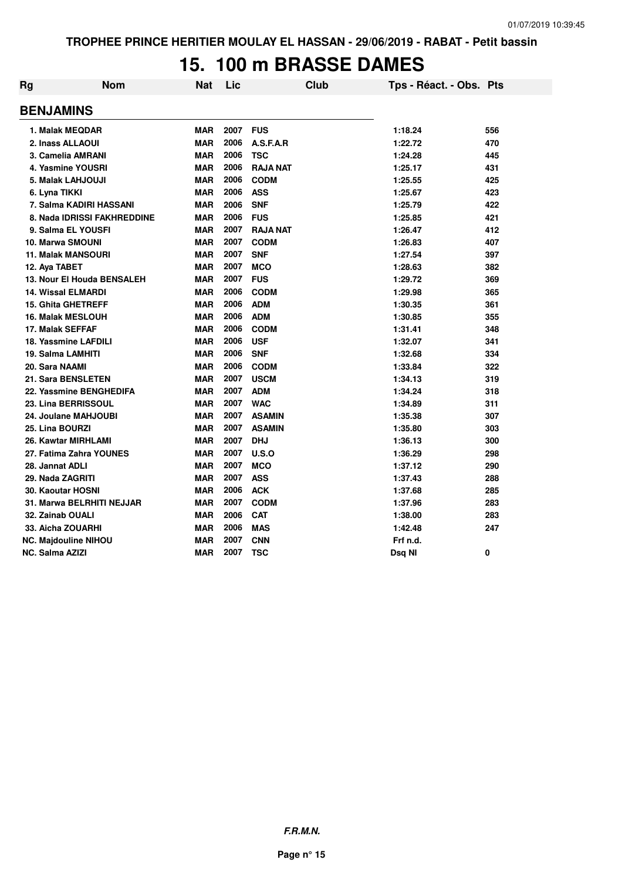# **15. 100 m BRASSE DAMES**

| Rg | <b>Nom</b>                  | <b>Nat</b> | Lic      | <b>Club</b>     | Tps - Réact. - Obs. Pts |     |
|----|-----------------------------|------------|----------|-----------------|-------------------------|-----|
|    | <b>BENJAMINS</b>            |            |          |                 |                         |     |
|    | 1. Malak MEQDAR             | <b>MAR</b> | 2007 FUS |                 | 1:18.24                 | 556 |
|    | 2. Inass ALLAOUI            | <b>MAR</b> | 2006     | A.S.F.A.R       | 1:22.72                 | 470 |
|    | 3. Camelia AMRANI           | <b>MAR</b> | 2006     | <b>TSC</b>      | 1:24.28                 | 445 |
|    | 4. Yasmine YOUSRI           | <b>MAR</b> | 2006     | <b>RAJA NAT</b> | 1:25.17                 | 431 |
|    | 5. Malak LAHJOUJI           | <b>MAR</b> | 2006     | <b>CODM</b>     | 1:25.55                 | 425 |
|    | 6. Lyna TIKKI               | <b>MAR</b> | 2006     | <b>ASS</b>      | 1:25.67                 | 423 |
|    | 7. Salma KADIRI HASSANI     | <b>MAR</b> | 2006     | <b>SNF</b>      | 1:25.79                 | 422 |
|    | 8. Nada IDRISSI FAKHREDDINE | <b>MAR</b> | 2006     | <b>FUS</b>      | 1:25.85                 | 421 |
|    | 9. Salma EL YOUSFI          | <b>MAR</b> | 2007     | <b>RAJA NAT</b> | 1:26.47                 | 412 |
|    | 10. Marwa SMOUNI            | <b>MAR</b> | 2007     | <b>CODM</b>     | 1:26.83                 | 407 |
|    | <b>11. Malak MANSOURI</b>   | <b>MAR</b> | 2007     | <b>SNF</b>      | 1:27.54                 | 397 |
|    | 12. Aya TABET               | <b>MAR</b> | 2007     | <b>MCO</b>      | 1:28.63                 | 382 |
|    | 13. Nour El Houda BENSALEH  | <b>MAR</b> | 2007     | <b>FUS</b>      | 1:29.72                 | 369 |
|    | <b>14. Wissal ELMARDI</b>   | <b>MAR</b> | 2006     | <b>CODM</b>     | 1:29.98                 | 365 |
|    | <b>15. Ghita GHETREFF</b>   | <b>MAR</b> | 2006     | <b>ADM</b>      | 1:30.35                 | 361 |
|    | <b>16. Malak MESLOUH</b>    | <b>MAR</b> | 2006     | <b>ADM</b>      | 1:30.85                 | 355 |
|    | 17. Malak SEFFAF            | <b>MAR</b> | 2006     | <b>CODM</b>     | 1:31.41                 | 348 |
|    | 18. Yassmine LAFDILI        | <b>MAR</b> | 2006     | <b>USF</b>      | 1:32.07                 | 341 |
|    | 19. Salma LAMHITI           | <b>MAR</b> | 2006     | <b>SNF</b>      | 1:32.68                 | 334 |
|    | 20. Sara NAAMI              | <b>MAR</b> | 2006     | <b>CODM</b>     | 1:33.84                 | 322 |
|    | 21. Sara BENSLETEN          | <b>MAR</b> | 2007     | <b>USCM</b>     | 1:34.13                 | 319 |
|    | 22. Yassmine BENGHEDIFA     | <b>MAR</b> | 2007     | <b>ADM</b>      | 1:34.24                 | 318 |
|    | 23. Lina BERRISSOUL         | <b>MAR</b> | 2007     | <b>WAC</b>      | 1:34.89                 | 311 |
|    | 24. Joulane MAHJOUBI        | <b>MAR</b> | 2007     | <b>ASAMIN</b>   | 1:35.38                 | 307 |
|    | 25. Lina BOURZI             | <b>MAR</b> | 2007     | <b>ASAMIN</b>   | 1:35.80                 | 303 |
|    | 26. Kawtar MIRHLAMI         | <b>MAR</b> | 2007     | <b>DHJ</b>      | 1:36.13                 | 300 |
|    | 27. Fatima Zahra YOUNES     | <b>MAR</b> | 2007     | U.S.O           | 1:36.29                 | 298 |
|    | 28. Jannat ADLI             | <b>MAR</b> | 2007     | <b>MCO</b>      | 1:37.12                 | 290 |
|    | 29. Nada ZAGRITI            | <b>MAR</b> | 2007     | <b>ASS</b>      | 1:37.43                 | 288 |
|    | <b>30. Kaoutar HOSNI</b>    | <b>MAR</b> | 2006     | <b>ACK</b>      | 1:37.68                 | 285 |
|    | 31. Marwa BELRHITI NEJJAR   | <b>MAR</b> | 2007     | <b>CODM</b>     | 1:37.96                 | 283 |
|    | 32. Zainab OUALI            | <b>MAR</b> | 2006     | <b>CAT</b>      | 1:38.00                 | 283 |
|    | 33. Aicha ZOUARHI           | <b>MAR</b> | 2006     | <b>MAS</b>      | 1:42.48                 | 247 |
|    | <b>NC. Majdouline NIHOU</b> | <b>MAR</b> | 2007     | <b>CNN</b>      | Frf n.d.                |     |
|    | <b>NC. Salma AZIZI</b>      | <b>MAR</b> | 2007     | <b>TSC</b>      | Dsg NI                  | 0   |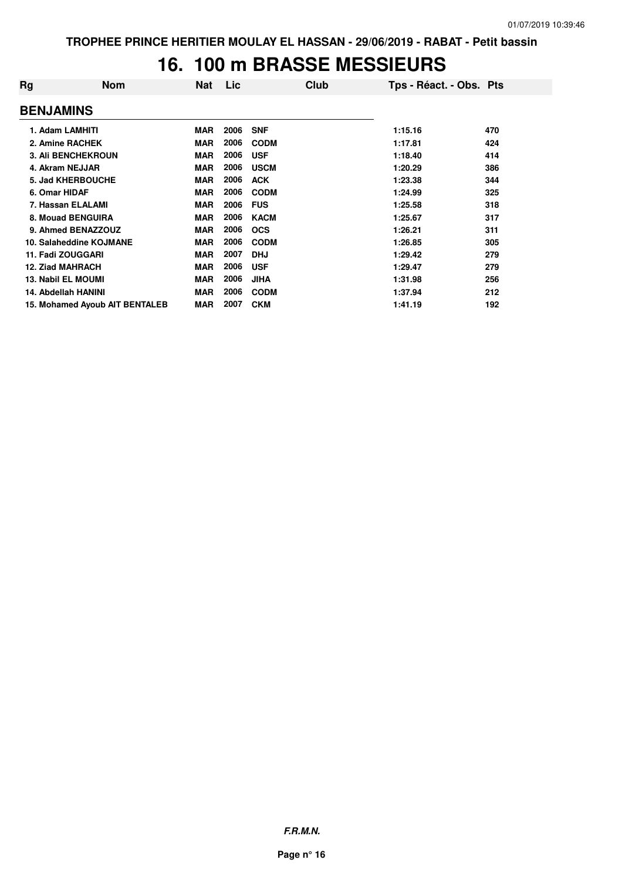# **16. 100 m BRASSE MESSIEURS**

| Rg                        | <b>Nom</b>                     | <b>Nat</b> | Lic  | Club        | Tps - Réact. - Obs. Pts |     |
|---------------------------|--------------------------------|------------|------|-------------|-------------------------|-----|
| <b>BENJAMINS</b>          |                                |            |      |             |                         |     |
| 1. Adam LAMHITI           |                                | <b>MAR</b> | 2006 | <b>SNF</b>  | 1:15.16                 | 470 |
|                           | 2. Amine RACHEK                | <b>MAR</b> | 2006 | <b>CODM</b> | 1:17.81                 | 424 |
|                           | <b>3. Ali BENCHEKROUN</b>      | <b>MAR</b> | 2006 | <b>USF</b>  | 1:18.40                 | 414 |
| 4. Akram NEJJAR           |                                | <b>MAR</b> | 2006 | <b>USCM</b> | 1:20.29                 | 386 |
|                           | <b>5. Jad KHERBOUCHE</b>       | <b>MAR</b> | 2006 | <b>ACK</b>  | 1:23.38                 | 344 |
| 6. Omar HIDAF             |                                | <b>MAR</b> | 2006 | <b>CODM</b> | 1:24.99                 | 325 |
|                           | 7. Hassan ELALAMI              | <b>MAR</b> | 2006 | <b>FUS</b>  | 1:25.58                 | 318 |
|                           | 8. Mouad BENGUIRA              | <b>MAR</b> | 2006 | <b>KACM</b> | 1:25.67                 | 317 |
|                           | 9. Ahmed BENAZZOUZ             | <b>MAR</b> | 2006 | <b>OCS</b>  | 1:26.21                 | 311 |
|                           | 10. Salaheddine KOJMANE        | <b>MAR</b> | 2006 | <b>CODM</b> | 1:26.85                 | 305 |
|                           | 11. Fadi ZOUGGARI              | <b>MAR</b> | 2007 | <b>DHJ</b>  | 1:29.42                 | 279 |
| <b>12. Ziad MAHRACH</b>   |                                | <b>MAR</b> | 2006 | <b>USF</b>  | 1:29.47                 | 279 |
| <b>13. Nabil EL MOUMI</b> |                                | <b>MAR</b> | 2006 | <b>JIHA</b> | 1:31.98                 | 256 |
|                           | 14. Abdellah HANINI            | <b>MAR</b> | 2006 | <b>CODM</b> | 1:37.94                 | 212 |
|                           | 15. Mohamed Ayoub AIT BENTALEB | <b>MAR</b> | 2007 | <b>CKM</b>  | 1:41.19                 | 192 |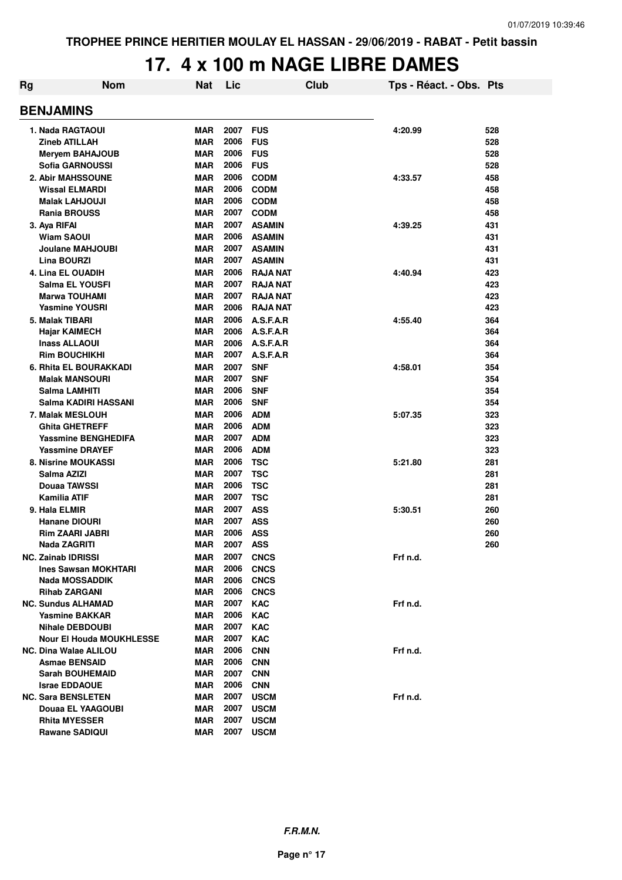### **17. 4 x 100 m NAGE LIBRE DAMES**

| Rg | <b>Nom</b>                      | Nat        | Lic              |                 | <b>Club</b> | Tps - Réact. - Obs. Pts |     |
|----|---------------------------------|------------|------------------|-----------------|-------------|-------------------------|-----|
|    | <b>BENJAMINS</b>                |            |                  |                 |             |                         |     |
|    | 1. Nada RAGTAOUI                | <b>MAR</b> | 2007             | <b>FUS</b>      |             | 4:20.99                 | 528 |
|    | <b>Zineb ATILLAH</b>            | <b>MAR</b> | 2006             | <b>FUS</b>      |             |                         | 528 |
|    | <b>Meryem BAHAJOUB</b>          | <b>MAR</b> | 2006             | <b>FUS</b>      |             |                         | 528 |
|    | Sofia GARNOUSSI                 | <b>MAR</b> | 2006             | <b>FUS</b>      |             |                         | 528 |
|    | 2. Abir MAHSSOUNE               | <b>MAR</b> | 2006             | <b>CODM</b>     |             | 4:33.57                 | 458 |
|    | <b>Wissal ELMARDI</b>           | <b>MAR</b> | 2006             | <b>CODM</b>     |             |                         | 458 |
|    | <b>Malak LAHJOUJI</b>           | <b>MAR</b> | 2006             | <b>CODM</b>     |             |                         | 458 |
|    | <b>Rania BROUSS</b>             | <b>MAR</b> | 2007             | <b>CODM</b>     |             |                         | 458 |
|    | 3. Aya RIFAI                    | <b>MAR</b> | 2007             | <b>ASAMIN</b>   |             | 4:39.25                 | 431 |
|    | <b>Wiam SAOUI</b>               | <b>MAR</b> | 2006             | <b>ASAMIN</b>   |             |                         | 431 |
|    | Joulane MAHJOUBI                | <b>MAR</b> | 2007             | <b>ASAMIN</b>   |             |                         | 431 |
|    | <b>Lina BOURZI</b>              | <b>MAR</b> | 2007             | <b>ASAMIN</b>   |             |                         | 431 |
|    | <b>4. Lina EL OUADIH</b>        | <b>MAR</b> | 2006             | <b>RAJA NAT</b> |             | 4:40.94                 | 423 |
|    | Salma EL YOUSFI                 | <b>MAR</b> | 2007             | <b>RAJA NAT</b> |             |                         | 423 |
|    | <b>Marwa TOUHAMI</b>            | <b>MAR</b> | 2007             | <b>RAJA NAT</b> |             |                         | 423 |
|    | <b>Yasmine YOUSRI</b>           | <b>MAR</b> | 2006             | <b>RAJA NAT</b> |             |                         | 423 |
|    | 5. Malak TIBARI                 | <b>MAR</b> | 2006             | A.S.F.A.R       |             | 4:55.40                 | 364 |
|    | <b>Hajar KAIMECH</b>            | <b>MAR</b> | 2006             | A.S.F.A.R       |             |                         | 364 |
|    | <b>Inass ALLAOUI</b>            | <b>MAR</b> | 2006             | A.S.F.A.R       |             |                         | 364 |
|    | <b>Rim BOUCHIKHI</b>            | <b>MAR</b> | 2007             | A.S.F.A.R       |             |                         | 364 |
|    | 6. Rhita EL BOURAKKADI          | <b>MAR</b> | 2007             | <b>SNF</b>      |             | 4:58.01                 | 354 |
|    | <b>Malak MANSOURI</b>           | <b>MAR</b> | 2007             | <b>SNF</b>      |             |                         | 354 |
|    | Salma LAMHITI                   | <b>MAR</b> | 2006             | <b>SNF</b>      |             |                         | 354 |
|    | Salma KADIRI HASSANI            | <b>MAR</b> | 2006             | <b>SNF</b>      |             |                         | 354 |
|    | 7. Malak MESLOUH                | <b>MAR</b> | 2006             | <b>ADM</b>      |             | 5:07.35                 | 323 |
|    | <b>Ghita GHETREFF</b>           | <b>MAR</b> | 2006             | <b>ADM</b>      |             |                         | 323 |
|    | <b>Yassmine BENGHEDIFA</b>      | <b>MAR</b> | 2007             | <b>ADM</b>      |             |                         | 323 |
|    | <b>Yassmine DRAYEF</b>          | <b>MAR</b> | 2006             | <b>ADM</b>      |             |                         | 323 |
|    | 8. Nisrine MOUKASSI             | <b>MAR</b> | 2006             | <b>TSC</b>      |             | 5:21.80                 | 281 |
|    | Salma AZIZI                     | <b>MAR</b> | 2007             | <b>TSC</b>      |             |                         | 281 |
|    | Douaa TAWSSI                    | <b>MAR</b> | 2006             | <b>TSC</b>      |             |                         | 281 |
|    | <b>Kamilia ATIF</b>             | <b>MAR</b> | 2007             | <b>TSC</b>      |             |                         | 281 |
|    | 9. Hala ELMIR                   | <b>MAR</b> | 2007             | <b>ASS</b>      |             | 5:30.51                 | 260 |
|    | <b>Hanane DIOURI</b>            | <b>MAR</b> | 2007             | <b>ASS</b>      |             |                         | 260 |
|    | <b>Rim ZAARI JABRI</b>          | <b>MAR</b> | 2006             | <b>ASS</b>      |             |                         | 260 |
|    | Nada ZAGRITI                    | <b>MAR</b> | 2007 ASS         |                 |             |                         | 260 |
|    | <b>NC. Zainab IDRISSI</b>       | <b>MAR</b> | <b>2007 CNCS</b> |                 |             | Frf n.d.                |     |
|    | <b>Ines Sawsan MOKHTARI</b>     | MAR        | 2006             | <b>CNCS</b>     |             |                         |     |
|    | Nada MOSSADDIK                  | MAR        | 2006             | <b>CNCS</b>     |             |                         |     |
|    | <b>Rihab ZARGANI</b>            | MAR        | 2006             | <b>CNCS</b>     |             |                         |     |
|    | <b>NC. Sundus ALHAMAD</b>       | <b>MAR</b> | 2007             | <b>KAC</b>      |             | Frf n.d.                |     |
|    | <b>Yasmine BAKKAR</b>           | MAR        | 2006             | <b>KAC</b>      |             |                         |     |
|    | <b>Nihale DEBDOUBI</b>          | MAR        | 2007             | <b>KAC</b>      |             |                         |     |
|    | <b>Nour El Houda MOUKHLESSE</b> | <b>MAR</b> | 2007             | <b>KAC</b>      |             |                         |     |
|    | <b>NC. Dina Walae ALILOU</b>    | MAR        | 2006             | <b>CNN</b>      |             | Frf n.d.                |     |
|    | <b>Asmae BENSAID</b>            | <b>MAR</b> | 2006             | <b>CNN</b>      |             |                         |     |
|    | <b>Sarah BOUHEMAID</b>          | MAR        | 2007             | <b>CNN</b>      |             |                         |     |
|    | <b>Israe EDDAOUE</b>            | MAR        | 2006             | <b>CNN</b>      |             |                         |     |
|    | <b>NC. Sara BENSLETEN</b>       | MAR        | 2007             | <b>USCM</b>     |             | Frf n.d.                |     |
|    | Douaa EL YAAGOUBI               | MAR        | 2007             | <b>USCM</b>     |             |                         |     |
|    | <b>Rhita MYESSER</b>            | MAR        | 2007             | <b>USCM</b>     |             |                         |     |
|    | <b>Rawane SADIQUI</b>           | <b>MAR</b> | 2007             | <b>USCM</b>     |             |                         |     |
|    |                                 |            |                  |                 |             |                         |     |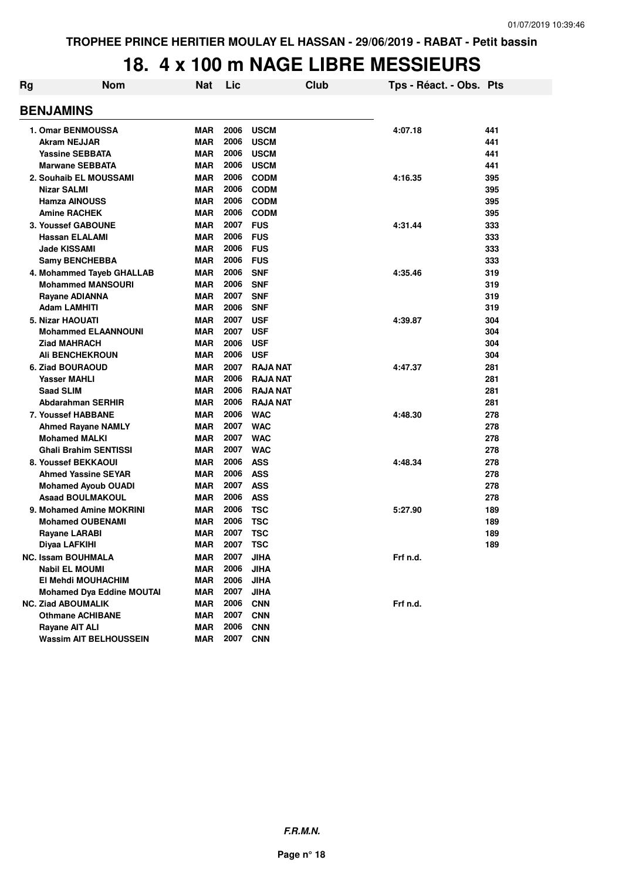### **18. 4 x 100 m NAGE LIBRE MESSIEURS**

| Rg | <b>Nom</b>                                        | <b>Nat</b>        | Lic          | Club                     | Tps - Réact. - Obs. Pts |            |
|----|---------------------------------------------------|-------------------|--------------|--------------------------|-------------------------|------------|
|    | <b>BENJAMINS</b>                                  |                   |              |                          |                         |            |
|    | <b>1. Omar BENMOUSSA</b>                          | <b>MAR</b>        | 2006         | <b>USCM</b>              | 4:07.18                 | 441        |
|    | <b>Akram NEJJAR</b>                               | <b>MAR</b>        | 2006         | <b>USCM</b>              |                         | 441        |
|    | <b>Yassine SEBBATA</b>                            | <b>MAR</b>        | 2006         | <b>USCM</b>              |                         | 441        |
|    | <b>Marwane SEBBATA</b>                            | <b>MAR</b>        | 2006         | <b>USCM</b>              |                         | 441        |
|    | 2. Souhaib EL MOUSSAMI                            | MAR               | 2006         | <b>CODM</b>              | 4:16.35                 | 395        |
|    | <b>Nizar SALMI</b>                                | <b>MAR</b>        | 2006         | <b>CODM</b>              |                         | 395        |
|    | <b>Hamza AINOUSS</b>                              | MAR               | 2006         | <b>CODM</b>              |                         | 395        |
|    | <b>Amine RACHEK</b>                               | <b>MAR</b>        | 2006         | <b>CODM</b>              |                         | 395        |
|    | <b>3. Youssef GABOUNE</b>                         | <b>MAR</b>        | 2007         | <b>FUS</b>               | 4:31.44                 | 333        |
|    | <b>Hassan ELALAMI</b>                             | MAR               | 2006         | <b>FUS</b>               |                         | 333        |
|    | <b>Jade KISSAMI</b>                               | <b>MAR</b>        | 2006         | <b>FUS</b>               |                         | 333        |
|    | <b>Samy BENCHEBBA</b>                             | <b>MAR</b>        | 2006         | <b>FUS</b>               |                         | 333        |
|    | 4. Mohammed Tayeb GHALLAB                         | MAR               | 2006         | <b>SNF</b>               | 4:35.46                 | 319        |
|    | <b>Mohammed MANSOURI</b>                          | MAR               | 2006         | <b>SNF</b>               |                         | 319        |
|    | Rayane ADIANNA                                    | MAR               | 2007         | <b>SNF</b>               |                         | 319        |
|    | Adam LAMHITI                                      | MAR               | 2006         | <b>SNF</b>               |                         | 319        |
|    | 5. Nizar HAOUATI                                  | <b>MAR</b>        | 2007         | <b>USF</b>               | 4:39.87                 | 304        |
|    | <b>Mohammed ELAANNOUNI</b>                        | <b>MAR</b>        | 2007         | <b>USF</b>               |                         | 304        |
|    | <b>Ziad MAHRACH</b>                               | <b>MAR</b>        | 2006         | <b>USF</b>               |                         | 304        |
|    | <b>Ali BENCHEKROUN</b>                            | <b>MAR</b>        | 2006         | <b>USF</b>               |                         | 304        |
|    | 6. Ziad BOURAOUD                                  | <b>MAR</b>        | 2007         | <b>RAJA NAT</b>          | 4:47.37                 | 281        |
|    | <b>Yasser MAHLI</b>                               | MAR               | 2006         | <b>RAJA NAT</b>          |                         | 281        |
|    | <b>Saad SLIM</b>                                  | MAR               | 2006<br>2006 | <b>RAJA NAT</b>          |                         | 281        |
|    | Abdarahman SERHIR                                 | <b>MAR</b>        | 2006         | <b>RAJA NAT</b>          |                         | 281        |
|    | 7. Youssef HABBANE                                | <b>MAR</b>        | 2007         | <b>WAC</b>               | 4:48.30                 | 278        |
|    | <b>Ahmed Rayane NAMLY</b><br><b>Mohamed MALKI</b> | MAR<br><b>MAR</b> | 2007         | <b>WAC</b><br><b>WAC</b> |                         | 278<br>278 |
|    | <b>Ghali Brahim SENTISSI</b>                      | MAR               | 2007         | <b>WAC</b>               |                         | 278        |
|    | 8. Youssef BEKKAOUI                               | <b>MAR</b>        | 2006         | <b>ASS</b>               | 4:48.34                 | 278        |
|    | <b>Ahmed Yassine SEYAR</b>                        | MAR               | 2006         | <b>ASS</b>               |                         | 278        |
|    | <b>Mohamed Ayoub OUADI</b>                        | MAR               | 2007         | <b>ASS</b>               |                         | 278        |
|    | <b>Asaad BOULMAKOUL</b>                           | MAR               | 2006         | <b>ASS</b>               |                         | 278        |
|    | 9. Mohamed Amine MOKRINI                          | <b>MAR</b>        | 2006         | <b>TSC</b>               | 5:27.90                 | 189        |
|    | <b>Mohamed OUBENAMI</b>                           | <b>MAR</b>        | 2006         | <b>TSC</b>               |                         | 189        |
|    | <b>Rayane LARABI</b>                              | <b>MAR</b>        | 2007         | <b>TSC</b>               |                         | 189        |
|    | Diyaa LAFKIHI                                     | <b>MAR</b>        | 2007         | <b>TSC</b>               |                         | 189        |
|    | <b>NC. Issam BOUHMALA</b>                         | MAR               | 2007         | JIHA                     | Frf n.d.                |            |
|    | <b>Nabil EL MOUMI</b>                             | MAR               | 2006         | <b>JIHA</b>              |                         |            |
|    | El Mehdi MOUHACHIM                                | <b>MAR</b>        | 2006         | <b>JIHA</b>              |                         |            |
|    | <b>Mohamed Dya Eddine MOUTAI</b>                  | <b>MAR</b>        | 2007         | <b>JIHA</b>              |                         |            |
|    | <b>NC. Ziad ABOUMALIK</b>                         | <b>MAR</b>        | 2006         | <b>CNN</b>               | Frf n.d.                |            |
|    | <b>Othmane ACHIBANE</b>                           | <b>MAR</b>        | 2007         | <b>CNN</b>               |                         |            |
|    | Rayane AIT ALI                                    | MAR               | 2006         | <b>CNN</b>               |                         |            |
|    | <b>Wassim AIT BELHOUSSEIN</b>                     | MAR               | 2007         | <b>CNN</b>               |                         |            |
|    |                                                   |                   |              |                          |                         |            |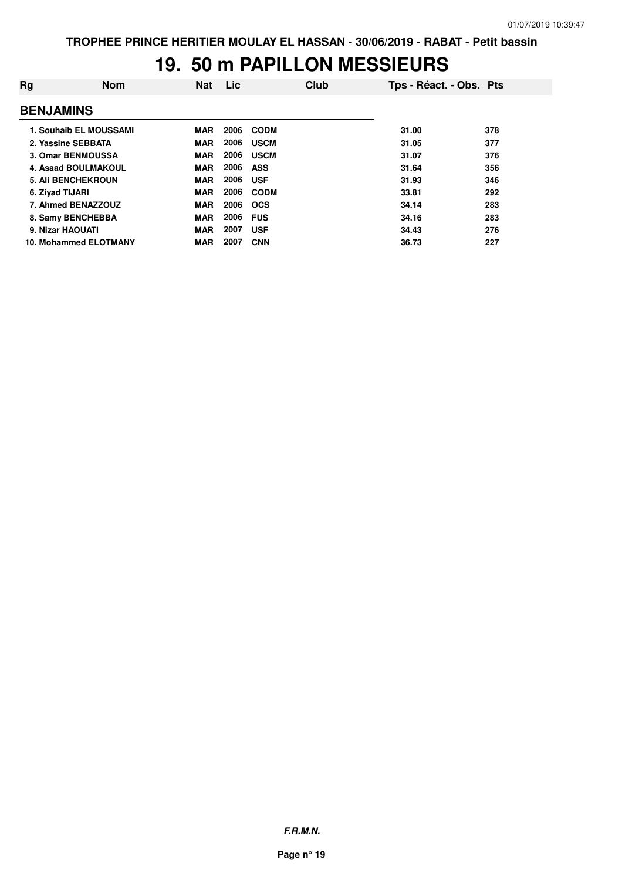### **19. 50 m PAPILLON MESSIEURS**

| Rg                        | <b>Nom</b>             | <b>Nat</b> | Lic  |             | Club | Tps - Réact. - Obs. Pts |     |
|---------------------------|------------------------|------------|------|-------------|------|-------------------------|-----|
| <b>BENJAMINS</b>          |                        |            |      |             |      |                         |     |
|                           | 1. Souhaib EL MOUSSAMI | <b>MAR</b> | 2006 | <b>CODM</b> |      | 31.00                   | 378 |
| 2. Yassine SEBBATA        |                        | <b>MAR</b> | 2006 | <b>USCM</b> |      | 31.05                   | 377 |
| 3. Omar BENMOUSSA         |                        | <b>MAR</b> | 2006 | <b>USCM</b> |      | 31.07                   | 376 |
|                           | 4. Asaad BOULMAKOUL    | <b>MAR</b> | 2006 | ASS         |      | 31.64                   | 356 |
| <b>5. Ali BENCHEKROUN</b> |                        | <b>MAR</b> | 2006 | <b>USF</b>  |      | 31.93                   | 346 |
| 6. Ziyad TIJARI           |                        | <b>MAR</b> | 2006 | <b>CODM</b> |      | 33.81                   | 292 |
| 7. Ahmed BENAZZOUZ        |                        | <b>MAR</b> | 2006 | <b>OCS</b>  |      | 34.14                   | 283 |
| 8. Samy BENCHEBBA         |                        | <b>MAR</b> | 2006 | <b>FUS</b>  |      | 34.16                   | 283 |
| 9. Nizar HAOUATI          |                        | <b>MAR</b> | 2007 | <b>USF</b>  |      | 34.43                   | 276 |
|                           | 10. Mohammed ELOTMANY  | <b>MAR</b> | 2007 | <b>CNN</b>  |      | 36.73                   | 227 |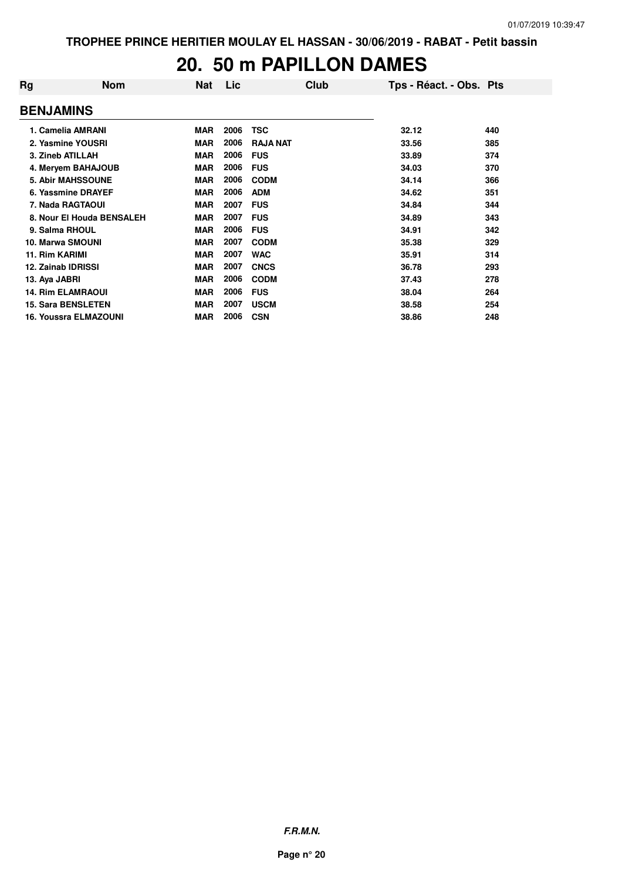#### **20. 50 m PAPILLON DAMES**

| Rg                 | <b>Nom</b>                | <b>Nat</b> | Lic  | Club            | Tps - Réact. - Obs. Pts |     |
|--------------------|---------------------------|------------|------|-----------------|-------------------------|-----|
| <b>BENJAMINS</b>   |                           |            |      |                 |                         |     |
|                    | 1. Camelia AMRANI         | <b>MAR</b> | 2006 | <b>TSC</b>      | 32.12                   | 440 |
|                    | 2. Yasmine YOUSRI         | <b>MAR</b> | 2006 | <b>RAJA NAT</b> | 33.56                   | 385 |
| 3. Zineb ATILLAH   |                           | <b>MAR</b> | 2006 | <b>FUS</b>      | 33.89                   | 374 |
|                    | 4. Meryem BAHAJOUB        | <b>MAR</b> | 2006 | <b>FUS</b>      | 34.03                   | 370 |
|                    | <b>5. Abir MAHSSOUNE</b>  | <b>MAR</b> | 2006 | <b>CODM</b>     | 34.14                   | 366 |
|                    | 6. Yassmine DRAYEF        | <b>MAR</b> | 2006 | <b>ADM</b>      | 34.62                   | 351 |
|                    | 7. Nada RAGTAOUI          | <b>MAR</b> | 2007 | <b>FUS</b>      | 34.84                   | 344 |
|                    | 8. Nour El Houda BENSALEH | <b>MAR</b> | 2007 | <b>FUS</b>      | 34.89                   | 343 |
| 9. Salma RHOUL     |                           | <b>MAR</b> | 2006 | <b>FUS</b>      | 34.91                   | 342 |
| 10. Marwa SMOUNI   |                           | <b>MAR</b> | 2007 | <b>CODM</b>     | 35.38                   | 329 |
| 11. Rim KARIMI     |                           | <b>MAR</b> | 2007 | <b>WAC</b>      | 35.91                   | 314 |
| 12. Zainab IDRISSI |                           | <b>MAR</b> | 2007 | <b>CNCS</b>     | 36.78                   | 293 |
| 13. Aya JABRI      |                           | <b>MAR</b> | 2006 | <b>CODM</b>     | 37.43                   | 278 |
|                    | <b>14. Rim ELAMRAOUI</b>  | <b>MAR</b> | 2006 | <b>FUS</b>      | 38.04                   | 264 |
|                    | <b>15. Sara BENSLETEN</b> | <b>MAR</b> | 2007 | <b>USCM</b>     | 38.58                   | 254 |
|                    | 16. Youssra ELMAZOUNI     | <b>MAR</b> | 2006 | <b>CSN</b>      | 38.86                   | 248 |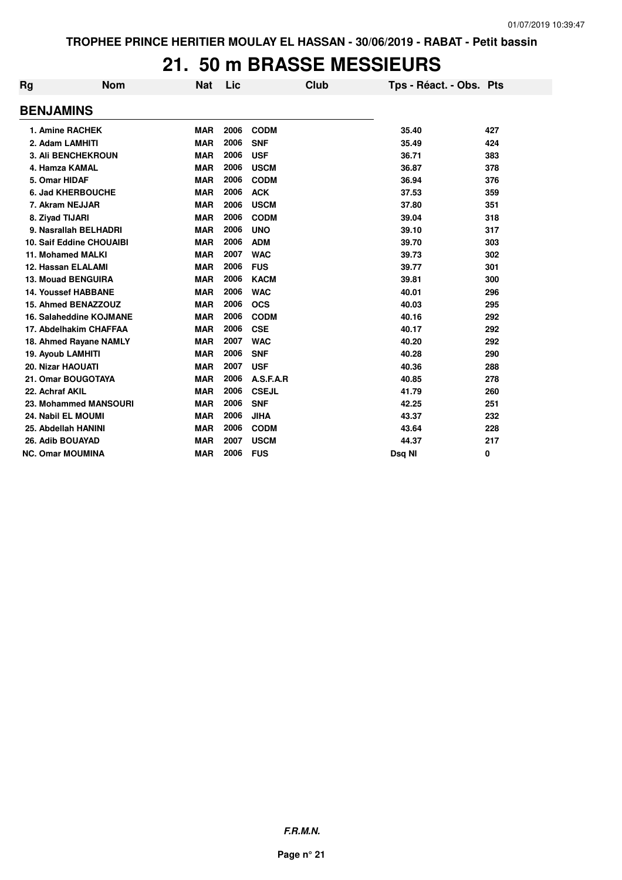#### **21. 50 m BRASSE MESSIEURS**

| Rg                       | <b>Nom</b>                      | Nat        | Lic  | <b>Club</b>  | Tps - Réact. - Obs. Pts |     |
|--------------------------|---------------------------------|------------|------|--------------|-------------------------|-----|
| <b>BENJAMINS</b>         |                                 |            |      |              |                         |     |
|                          | 1. Amine RACHEK                 | <b>MAR</b> | 2006 | <b>CODM</b>  | 35.40                   | 427 |
| 2. Adam LAMHITI          |                                 | <b>MAR</b> | 2006 | <b>SNF</b>   | 35.49                   | 424 |
|                          | <b>3. Ali BENCHEKROUN</b>       | <b>MAR</b> | 2006 | <b>USF</b>   | 36.71                   | 383 |
| 4. Hamza KAMAL           |                                 | <b>MAR</b> | 2006 | <b>USCM</b>  | 36.87                   | 378 |
| 5. Omar HIDAF            |                                 | <b>MAR</b> | 2006 | <b>CODM</b>  | 36.94                   | 376 |
|                          | <b>6. Jad KHERBOUCHE</b>        | <b>MAR</b> | 2006 | <b>ACK</b>   | 37.53                   | 359 |
|                          | 7. Akram NEJJAR                 | <b>MAR</b> | 2006 | <b>USCM</b>  | 37.80                   | 351 |
| 8. Ziyad TIJARI          |                                 | <b>MAR</b> | 2006 | <b>CODM</b>  | 39.04                   | 318 |
|                          | 9. Nasrallah BELHADRI           | <b>MAR</b> | 2006 | <b>UNO</b>   | 39.10                   | 317 |
|                          | <b>10. Saif Eddine CHOUAIBI</b> | <b>MAR</b> | 2006 | <b>ADM</b>   | 39.70                   | 303 |
|                          | 11. Mohamed MALKI               | <b>MAR</b> | 2007 | <b>WAC</b>   | 39.73                   | 302 |
|                          | 12. Hassan ELALAMI              | <b>MAR</b> | 2006 | <b>FUS</b>   | 39.77                   | 301 |
|                          | 13. Mouad BENGUIRA              | <b>MAR</b> | 2006 | <b>KACM</b>  | 39.81                   | 300 |
|                          | <b>14. Youssef HABBANE</b>      | <b>MAR</b> | 2006 | <b>WAC</b>   | 40.01                   | 296 |
|                          | 15. Ahmed BENAZZOUZ             | <b>MAR</b> | 2006 | <b>OCS</b>   | 40.03                   | 295 |
|                          | 16. Salaheddine KOJMANE         | <b>MAR</b> | 2006 | <b>CODM</b>  | 40.16                   | 292 |
|                          | 17. Abdelhakim CHAFFAA          | <b>MAR</b> | 2006 | <b>CSE</b>   | 40.17                   | 292 |
|                          | 18. Ahmed Rayane NAMLY          | <b>MAR</b> | 2007 | <b>WAC</b>   | 40.20                   | 292 |
| 19. Ayoub LAMHITI        |                                 | <b>MAR</b> | 2006 | <b>SNF</b>   | 40.28                   | 290 |
| <b>20. Nizar HAOUATI</b> |                                 | <b>MAR</b> | 2007 | <b>USF</b>   | 40.36                   | 288 |
|                          | 21. Omar BOUGOTAYA              | <b>MAR</b> | 2006 | A.S.F.A.R    | 40.85                   | 278 |
| 22. Achraf AKIL          |                                 | <b>MAR</b> | 2006 | <b>CSEJL</b> | 41.79                   | 260 |
|                          | 23. Mohammed MANSOURI           | <b>MAR</b> | 2006 | <b>SNF</b>   | 42.25                   | 251 |
|                          | 24. Nabil EL MOUMI              | <b>MAR</b> | 2006 | <b>JIHA</b>  | 43.37                   | 232 |
|                          | 25. Abdellah HANINI             | <b>MAR</b> | 2006 | <b>CODM</b>  | 43.64                   | 228 |
| 26. Adib BOUAYAD         |                                 | <b>MAR</b> | 2007 | <b>USCM</b>  | 44.37                   | 217 |
| <b>NC. Omar MOUMINA</b>  |                                 | <b>MAR</b> | 2006 | <b>FUS</b>   | Dsg NI                  | 0   |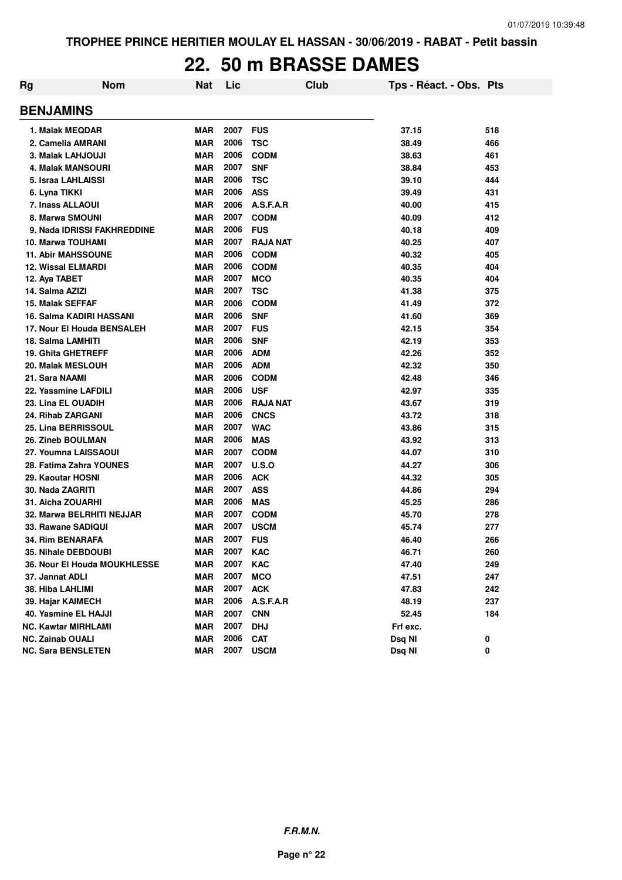### **22. 50 m BRASSE DAMES**

| Rg | <b>Nom</b>                      | <b>Nat</b> | Lic  |                 | <b>Club</b> | Tps - Réact. - Obs. Pts |     |
|----|---------------------------------|------------|------|-----------------|-------------|-------------------------|-----|
|    | <b>BENJAMINS</b>                |            |      |                 |             |                         |     |
|    | 1. Malak MEQDAR                 | <b>MAR</b> | 2007 | <b>FUS</b>      |             | 37.15                   | 518 |
|    | 2. Camelia AMRANI               | <b>MAR</b> | 2006 | <b>TSC</b>      |             | 38.49                   | 466 |
|    | 3. Malak LAHJOUJI               | <b>MAR</b> | 2006 | <b>CODM</b>     |             | 38.63                   | 461 |
|    | <b>4. Malak MANSOURI</b>        | <b>MAR</b> | 2007 | <b>SNF</b>      |             | 38.84                   | 453 |
|    | 5. Israa LAHLAISSI              | <b>MAR</b> | 2006 | <b>TSC</b>      |             | 39.10                   | 444 |
|    | 6. Lyna TIKKI                   | <b>MAR</b> | 2006 | <b>ASS</b>      |             | 39.49                   | 431 |
|    | 7. Inass ALLAOUI                | <b>MAR</b> | 2006 | A.S.F.A.R       |             | 40.00                   | 415 |
|    | 8. Marwa SMOUNI                 | <b>MAR</b> | 2007 | <b>CODM</b>     |             | 40.09                   | 412 |
|    | 9. Nada IDRISSI FAKHREDDINE     | <b>MAR</b> | 2006 | <b>FUS</b>      |             | 40.18                   | 409 |
|    | <b>10. Marwa TOUHAMI</b>        | <b>MAR</b> | 2007 | <b>RAJA NAT</b> |             | 40.25                   | 407 |
|    | <b>11. Abir MAHSSOUNE</b>       | <b>MAR</b> | 2006 | <b>CODM</b>     |             | 40.32                   | 405 |
|    | <b>12. Wissal ELMARDI</b>       | <b>MAR</b> | 2006 | <b>CODM</b>     |             | 40.35                   | 404 |
|    | 12. Aya TABET                   | <b>MAR</b> | 2007 | <b>MCO</b>      |             | 40.35                   | 404 |
|    | 14. Salma AZIZI                 | <b>MAR</b> | 2007 | <b>TSC</b>      |             | 41.38                   | 375 |
|    | <b>15. Malak SEFFAF</b>         | <b>MAR</b> | 2006 | <b>CODM</b>     |             | 41.49                   | 372 |
|    | <b>16. Salma KADIRI HASSANI</b> | <b>MAR</b> | 2006 | <b>SNF</b>      |             | 41.60                   | 369 |
|    | 17. Nour El Houda BENSALEH      | <b>MAR</b> | 2007 | <b>FUS</b>      |             | 42.15                   | 354 |
|    | 18. Salma LAMHITI               | <b>MAR</b> | 2006 | <b>SNF</b>      |             | 42.19                   | 353 |
|    | <b>19. Ghita GHETREFF</b>       | <b>MAR</b> | 2006 | <b>ADM</b>      |             | 42.26                   | 352 |
|    | 20. Malak MESLOUH               | <b>MAR</b> | 2006 | <b>ADM</b>      |             | 42.32                   | 350 |
|    | 21. Sara NAAMI                  | <b>MAR</b> | 2006 | <b>CODM</b>     |             | 42.48                   | 346 |
|    | 22. Yassmine LAFDILI            | <b>MAR</b> | 2006 | <b>USF</b>      |             | 42.97                   | 335 |
|    | 23. Lina EL OUADIH              | <b>MAR</b> | 2006 | <b>RAJA NAT</b> |             | 43.67                   | 319 |
|    | 24. Rihab ZARGANI               | <b>MAR</b> | 2006 | <b>CNCS</b>     |             | 43.72                   | 318 |
|    | 25. Lina BERRISSOUL             | <b>MAR</b> | 2007 | <b>WAC</b>      |             | 43.86                   | 315 |
|    | 26. Zineb BOULMAN               | <b>MAR</b> | 2006 | <b>MAS</b>      |             | 43.92                   | 313 |
|    | 27. Youmna LAISSAOUI            | <b>MAR</b> | 2007 | <b>CODM</b>     |             | 44.07                   | 310 |
|    | 28. Fatima Zahra YOUNES         | <b>MAR</b> | 2007 | U.S.O           |             | 44.27                   | 306 |
|    | 29. Kaoutar HOSNI               | <b>MAR</b> | 2006 | <b>ACK</b>      |             | 44.32                   | 305 |
|    | 30. Nada ZAGRITI                | <b>MAR</b> | 2007 | <b>ASS</b>      |             | 44.86                   | 294 |
|    | 31. Aicha ZOUARHI               | <b>MAR</b> | 2006 | <b>MAS</b>      |             | 45.25                   | 286 |
|    | 32. Marwa BELRHITI NEJJAR       | <b>MAR</b> | 2007 | <b>CODM</b>     |             | 45.70                   | 278 |
|    | 33. Rawane SADIQUI              | <b>MAR</b> | 2007 | <b>USCM</b>     |             | 45.74                   | 277 |
|    | 34. Rim BENARAFA                | <b>MAR</b> | 2007 | <b>FUS</b>      |             | 46.40                   | 266 |
|    | 35. Nihale DEBDOUBI             | <b>MAR</b> | 2007 | <b>KAC</b>      |             | 46.71                   | 260 |
|    | 36. Nour El Houda MOUKHLESSE    | <b>MAR</b> | 2007 | KAC             |             | 47.40                   | 249 |
|    | 37. Jannat ADLI                 | <b>MAR</b> | 2007 | <b>MCO</b>      |             | 47.51                   | 247 |
|    | 38. Hiba LAHLIMI                | MAR        | 2007 | <b>ACK</b>      |             | 47.83                   | 242 |
|    | 39. Hajar KAIMECH               | <b>MAR</b> | 2006 | A.S.F.A.R       |             | 48.19                   | 237 |
|    | 40. Yasmine EL HAJJI            | <b>MAR</b> | 2007 | <b>CNN</b>      |             | 52.45                   | 184 |
|    | NC. Kawtar MIRHLAMI             | <b>MAR</b> | 2007 | <b>DHJ</b>      |             | Frf exc.                |     |
|    | <b>NC. Zainab OUALI</b>         | <b>MAR</b> | 2006 | <b>CAT</b>      |             | Dsq NI                  | 0   |
|    | <b>NC. Sara BENSLETEN</b>       | <b>MAR</b> | 2007 | <b>USCM</b>     |             | Dsq NI                  | 0   |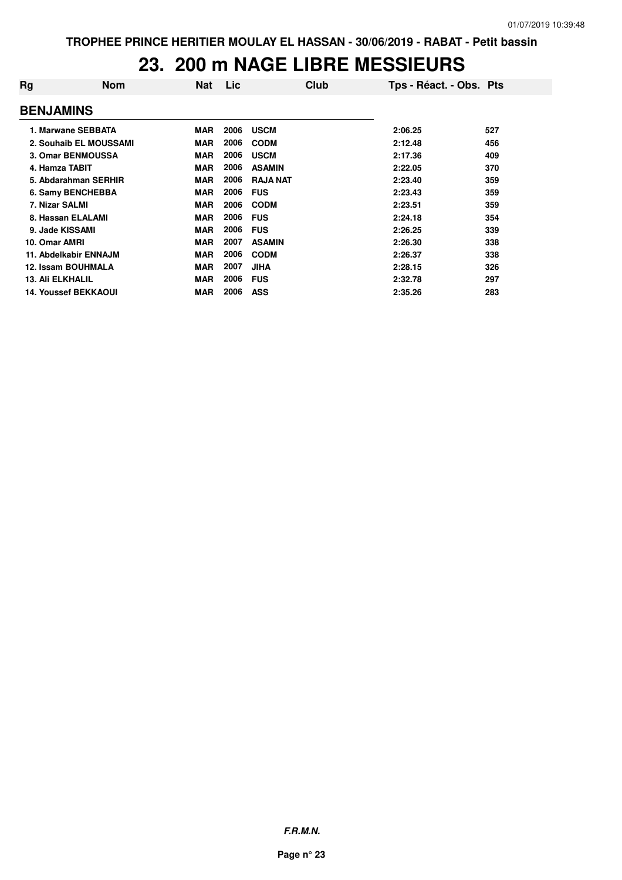## **23. 200 m NAGE LIBRE MESSIEURS**

| Rg                      | <b>Nom</b>                  | Nat        | Lic. | Club            | Tps - Réact. - Obs. Pts |     |
|-------------------------|-----------------------------|------------|------|-----------------|-------------------------|-----|
| <b>BENJAMINS</b>        |                             |            |      |                 |                         |     |
|                         | 1. Marwane SEBBATA          | <b>MAR</b> | 2006 | <b>USCM</b>     | 2:06.25                 | 527 |
|                         | 2. Souhaib EL MOUSSAMI      | <b>MAR</b> | 2006 | <b>CODM</b>     | 2:12.48                 | 456 |
|                         | 3. Omar BENMOUSSA           | <b>MAR</b> | 2006 | <b>USCM</b>     | 2:17.36                 | 409 |
| 4. Hamza TABIT          |                             | <b>MAR</b> | 2006 | <b>ASAMIN</b>   | 2:22.05                 | 370 |
|                         | 5. Abdarahman SERHIR        | <b>MAR</b> | 2006 | <b>RAJA NAT</b> | 2:23.40                 | 359 |
|                         | 6. Samy BENCHEBBA           | <b>MAR</b> | 2006 | <b>FUS</b>      | 2:23.43                 | 359 |
| 7. Nizar SALMI          |                             | <b>MAR</b> | 2006 | <b>CODM</b>     | 2:23.51                 | 359 |
|                         | 8. Hassan ELALAMI           | <b>MAR</b> | 2006 | <b>FUS</b>      | 2:24.18                 | 354 |
| 9. Jade KISSAMI         |                             | <b>MAR</b> | 2006 | <b>FUS</b>      | 2:26.25                 | 339 |
| 10. Omar AMRI           |                             | <b>MAR</b> | 2007 | <b>ASAMIN</b>   | 2:26.30                 | 338 |
|                         | 11. Abdelkabir ENNAJM       | <b>MAR</b> | 2006 | <b>CODM</b>     | 2:26.37                 | 338 |
|                         | 12. Issam BOUHMALA          | <b>MAR</b> | 2007 | <b>JIHA</b>     | 2:28.15                 | 326 |
| <b>13. Ali ELKHALIL</b> |                             | <b>MAR</b> | 2006 | <b>FUS</b>      | 2:32.78                 | 297 |
|                         | <b>14. Youssef BEKKAOUI</b> | <b>MAR</b> | 2006 | <b>ASS</b>      | 2:35.26                 | 283 |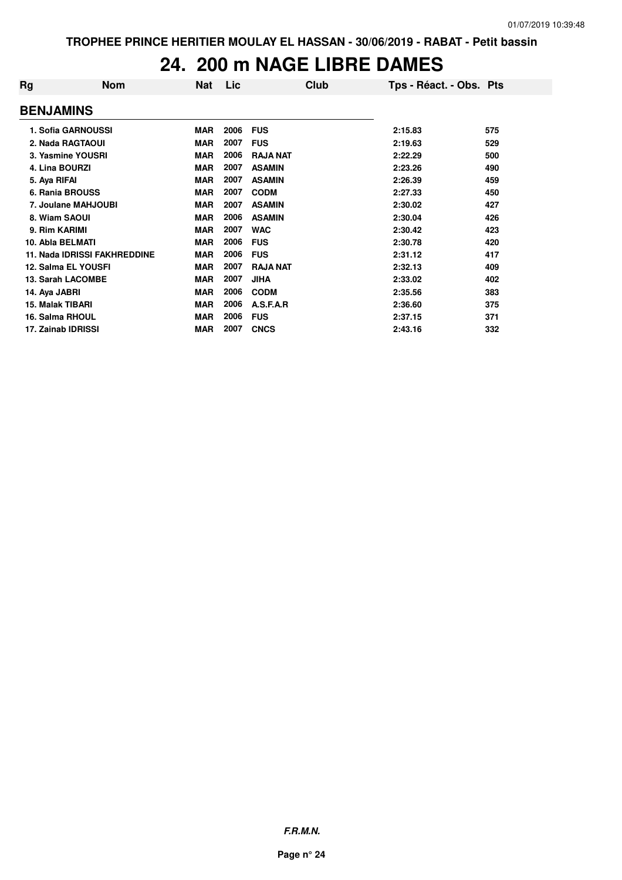#### **24. 200 m NAGE LIBRE DAMES**

| Rg                      | <b>Nom</b>                          | <b>Nat</b> | Lic  | Club            | Tps - Réact. - Obs. Pts |     |
|-------------------------|-------------------------------------|------------|------|-----------------|-------------------------|-----|
| <b>BENJAMINS</b>        |                                     |            |      |                 |                         |     |
|                         | 1. Sofia GARNOUSSI                  | <b>MAR</b> | 2006 | <b>FUS</b>      | 2:15.83                 | 575 |
|                         | 2. Nada RAGTAOUI                    | <b>MAR</b> | 2007 | <b>FUS</b>      | 2:19.63                 | 529 |
|                         | 3. Yasmine YOUSRI                   | <b>MAR</b> | 2006 | <b>RAJA NAT</b> | 2:22.29                 | 500 |
| 4. Lina BOURZI          |                                     | <b>MAR</b> | 2007 | <b>ASAMIN</b>   | 2:23.26                 | 490 |
| 5. Aya RIFAI            |                                     | <b>MAR</b> | 2007 | <b>ASAMIN</b>   | 2:26.39                 | 459 |
| 6. Rania BROUSS         |                                     | <b>MAR</b> | 2007 | <b>CODM</b>     | 2:27.33                 | 450 |
|                         | 7. Joulane MAHJOUBI                 | <b>MAR</b> | 2007 | <b>ASAMIN</b>   | 2:30.02                 | 427 |
| 8. Wiam SAOUI           |                                     | <b>MAR</b> | 2006 | <b>ASAMIN</b>   | 2:30.04                 | 426 |
| 9. Rim KARIMI           |                                     | <b>MAR</b> | 2007 | <b>WAC</b>      | 2:30.42                 | 423 |
| 10. Abla BELMATI        |                                     | <b>MAR</b> | 2006 | <b>FUS</b>      | 2:30.78                 | 420 |
|                         | <b>11. Nada IDRISSI FAKHREDDINE</b> | <b>MAR</b> | 2006 | <b>FUS</b>      | 2:31.12                 | 417 |
|                         | 12. Salma EL YOUSFI                 | <b>MAR</b> | 2007 | <b>RAJA NAT</b> | 2:32.13                 | 409 |
|                         | 13. Sarah LACOMBE                   | <b>MAR</b> | 2007 | <b>JIHA</b>     | 2:33.02                 | 402 |
| 14. Aya JABRI           |                                     | <b>MAR</b> | 2006 | <b>CODM</b>     | 2:35.56                 | 383 |
| <b>15. Malak TIBARI</b> |                                     | <b>MAR</b> | 2006 | A.S.F.A.R       | 2:36.60                 | 375 |
| 16. Salma RHOUL         |                                     | <b>MAR</b> | 2006 | <b>FUS</b>      | 2:37.15                 | 371 |
| 17. Zainab IDRISSI      |                                     | <b>MAR</b> | 2007 | <b>CNCS</b>     | 2:43.16                 | 332 |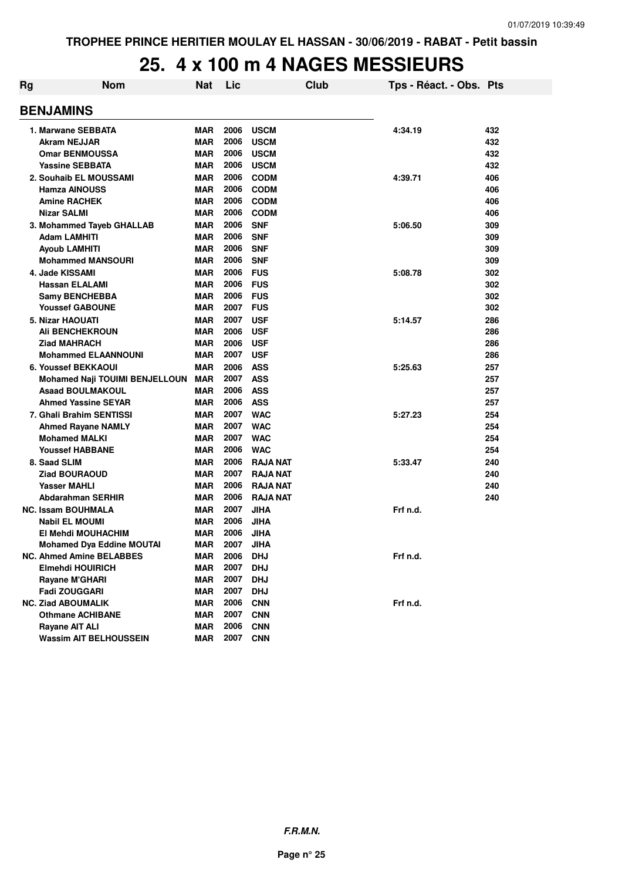#### **25. 4 x 100 m 4 NAGES MESSIEURS**

| Rg | <b>Nom</b>                            | <b>Nat</b> | Lic  | <b>Club</b>     | Tps - Réact. - Obs. Pts |     |
|----|---------------------------------------|------------|------|-----------------|-------------------------|-----|
|    | <b>BENJAMINS</b>                      |            |      |                 |                         |     |
|    | 1. Marwane SEBBATA                    | <b>MAR</b> | 2006 | <b>USCM</b>     | 4:34.19                 | 432 |
|    | <b>Akram NEJJAR</b>                   | <b>MAR</b> | 2006 | <b>USCM</b>     |                         | 432 |
|    | <b>Omar BENMOUSSA</b>                 | <b>MAR</b> | 2006 | <b>USCM</b>     |                         | 432 |
|    | <b>Yassine SEBBATA</b>                | MAR        | 2006 | <b>USCM</b>     |                         | 432 |
|    | 2. Souhaib EL MOUSSAMI                | <b>MAR</b> | 2006 | <b>CODM</b>     | 4:39.71                 | 406 |
|    | <b>Hamza AINOUSS</b>                  | <b>MAR</b> | 2006 | <b>CODM</b>     |                         | 406 |
|    | <b>Amine RACHEK</b>                   | <b>MAR</b> | 2006 | <b>CODM</b>     |                         | 406 |
|    | <b>Nizar SALMI</b>                    | <b>MAR</b> | 2006 | <b>CODM</b>     |                         | 406 |
|    | 3. Mohammed Tayeb GHALLAB             | <b>MAR</b> | 2006 | <b>SNF</b>      | 5:06.50                 | 309 |
|    | Adam LAMHITI                          | <b>MAR</b> | 2006 | <b>SNF</b>      |                         | 309 |
|    | Ayoub LAMHITI                         | <b>MAR</b> | 2006 | <b>SNF</b>      |                         | 309 |
|    | <b>Mohammed MANSOURI</b>              | <b>MAR</b> | 2006 | <b>SNF</b>      |                         | 309 |
|    | 4. Jade KISSAMI                       | <b>MAR</b> | 2006 | <b>FUS</b>      | 5:08.78                 | 302 |
|    | <b>Hassan ELALAMI</b>                 | <b>MAR</b> | 2006 | <b>FUS</b>      |                         | 302 |
|    | <b>Samy BENCHEBBA</b>                 | <b>MAR</b> | 2006 | <b>FUS</b>      |                         | 302 |
|    | <b>Youssef GABOUNE</b>                | <b>MAR</b> | 2007 | <b>FUS</b>      |                         | 302 |
|    | <b>5. Nizar HAOUATI</b>               | <b>MAR</b> | 2007 | <b>USF</b>      | 5:14.57                 | 286 |
|    | Ali BENCHEKROUN                       | <b>MAR</b> | 2006 | <b>USF</b>      |                         | 286 |
|    | <b>Ziad MAHRACH</b>                   | <b>MAR</b> | 2006 | <b>USF</b>      |                         | 286 |
|    | <b>Mohammed ELAANNOUNI</b>            | <b>MAR</b> | 2007 | <b>USF</b>      |                         | 286 |
|    | 6. Youssef BEKKAOUI                   | <b>MAR</b> | 2006 | <b>ASS</b>      | 5:25.63                 | 257 |
|    | <b>Mohamed Naji TOUIMI BENJELLOUN</b> | <b>MAR</b> | 2007 | <b>ASS</b>      |                         | 257 |
|    | <b>Asaad BOULMAKOUL</b>               | <b>MAR</b> | 2006 | <b>ASS</b>      |                         | 257 |
|    | <b>Ahmed Yassine SEYAR</b>            | <b>MAR</b> | 2006 | <b>ASS</b>      |                         | 257 |
|    | 7. Ghali Brahim SENTISSI              | <b>MAR</b> | 2007 | <b>WAC</b>      | 5:27.23                 | 254 |
|    | <b>Ahmed Rayane NAMLY</b>             | <b>MAR</b> | 2007 | <b>WAC</b>      |                         | 254 |
|    | <b>Mohamed MALKI</b>                  | <b>MAR</b> | 2007 | <b>WAC</b>      |                         | 254 |
|    | <b>Youssef HABBANE</b>                | <b>MAR</b> | 2006 | <b>WAC</b>      |                         | 254 |
|    | 8. Saad SLIM                          | <b>MAR</b> | 2006 | <b>RAJA NAT</b> | 5:33.47                 | 240 |
|    | <b>Ziad BOURAOUD</b>                  | <b>MAR</b> | 2007 | <b>RAJA NAT</b> |                         | 240 |
|    | <b>Yasser MAHLI</b>                   | <b>MAR</b> | 2006 | <b>RAJA NAT</b> |                         | 240 |
|    | Abdarahman SERHIR                     | <b>MAR</b> | 2006 | <b>RAJA NAT</b> |                         | 240 |
|    | <b>NC. Issam BOUHMALA</b>             | <b>MAR</b> | 2007 | <b>JIHA</b>     | Frf n.d.                |     |
|    | <b>Nabil EL MOUMI</b>                 | <b>MAR</b> | 2006 | <b>JIHA</b>     |                         |     |
|    | El Mehdi MOUHACHIM                    | <b>MAR</b> | 2006 | <b>JIHA</b>     |                         |     |
|    | Mohamed Dya Eddine MOUTAI             | MAR        | 2007 | JIHA            |                         |     |
|    | <b>NC. Ahmed Amine BELABBES</b>       | MAR        | 2006 | <b>DHJ</b>      | Frf n.d.                |     |
|    | Elmehdi HOUIRICH                      | <b>MAR</b> | 2007 | <b>DHJ</b>      |                         |     |
|    | Rayane M'GHARI                        | <b>MAR</b> | 2007 | <b>DHJ</b>      |                         |     |
|    | Fadi ZOUGGARI                         | MAR        | 2007 | <b>DHJ</b>      |                         |     |
|    | <b>NC. Ziad ABOUMALIK</b>             | <b>MAR</b> | 2006 | <b>CNN</b>      | Frf n.d.                |     |
|    | <b>Othmane ACHIBANE</b>               | <b>MAR</b> | 2007 | <b>CNN</b>      |                         |     |
|    | <b>Rayane AIT ALI</b>                 | <b>MAR</b> | 2006 | <b>CNN</b>      |                         |     |
|    | <b>Wassim AIT BELHOUSSEIN</b>         | MAR        | 2007 | <b>CNN</b>      |                         |     |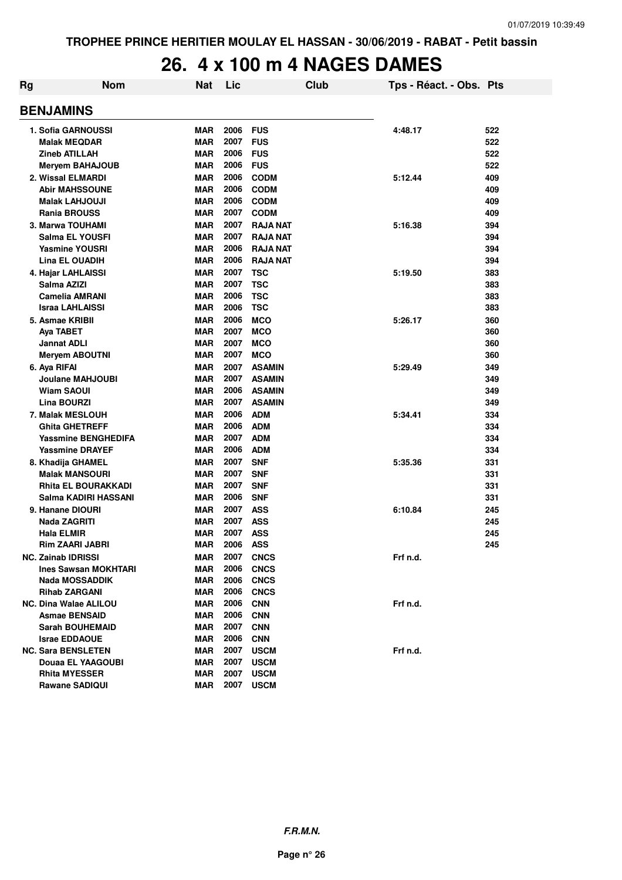# **26. 4 x 100 m 4 NAGES DAMES**

| Rg | <b>Nom</b>                                 | <b>Nat</b>        | Lic          |                          | <b>Club</b> | Tps - Réact. - Obs. Pts |            |
|----|--------------------------------------------|-------------------|--------------|--------------------------|-------------|-------------------------|------------|
|    | <b>BENJAMINS</b>                           |                   |              |                          |             |                         |            |
|    | 1. Sofia GARNOUSSI                         | <b>MAR</b>        | 2006         | <b>FUS</b>               |             | 4:48.17                 | 522        |
|    | <b>Malak MEQDAR</b>                        | MAR               | 2007         | <b>FUS</b>               |             |                         | 522        |
|    | <b>Zineb ATILLAH</b>                       | MAR               | 2006         | <b>FUS</b>               |             |                         | 522        |
|    | <b>Meryem BAHAJOUB</b>                     | MAR               | 2006         | <b>FUS</b>               |             |                         | 522        |
|    | 2. Wissal ELMARDI                          | <b>MAR</b>        | 2006         | <b>CODM</b>              |             | 5:12.44                 | 409        |
|    | <b>Abir MAHSSOUNE</b>                      | MAR               | 2006         | <b>CODM</b>              |             |                         | 409        |
|    | <b>Malak LAHJOUJI</b>                      | <b>MAR</b>        | 2006         | <b>CODM</b>              |             |                         | 409        |
|    | <b>Rania BROUSS</b>                        | MAR               | 2007         | <b>CODM</b>              |             |                         | 409        |
|    | 3. Marwa TOUHAMI                           | <b>MAR</b>        | 2007         | <b>RAJA NAT</b>          |             | 5:16.38                 | 394        |
|    | Salma EL YOUSFI                            | <b>MAR</b>        | 2007         | <b>RAJA NAT</b>          |             |                         | 394        |
|    | <b>Yasmine YOUSRI</b>                      | MAR               | 2006         | <b>RAJA NAT</b>          |             |                         | 394        |
|    | <b>Lina EL OUADIH</b>                      | MAR               | 2006         | <b>RAJA NAT</b>          |             |                         | 394        |
|    | 4. Hajar LAHLAISSI                         | <b>MAR</b>        | 2007         | <b>TSC</b>               |             | 5:19.50                 | 383        |
|    | Salma AZIZI                                | <b>MAR</b>        | 2007         | <b>TSC</b>               |             |                         | 383        |
|    | <b>Camelia AMRANI</b>                      | <b>MAR</b>        | 2006         | <b>TSC</b>               |             |                         | 383        |
|    | <b>Israa LAHLAISSI</b>                     | <b>MAR</b>        | 2006         | <b>TSC</b>               |             |                         | 383        |
|    | 5. Asmae KRIBII                            | <b>MAR</b>        | 2006         | <b>MCO</b>               |             | 5:26.17                 | 360        |
|    | Aya TABET                                  | <b>MAR</b>        | 2007         | <b>MCO</b>               |             |                         | 360        |
|    | <b>Jannat ADLI</b>                         | <b>MAR</b>        | 2007         | <b>MCO</b>               |             |                         | 360        |
|    | <b>Meryem ABOUTNI</b>                      | MAR               | 2007         | <b>MCO</b>               |             |                         | 360        |
|    | 6. Aya RIFAI                               | <b>MAR</b>        | 2007         | <b>ASAMIN</b>            |             | 5:29.49                 | 349        |
|    | Joulane MAHJOUBI                           | MAR               | 2007         | <b>ASAMIN</b>            |             |                         | 349        |
|    | Wiam SAOUI                                 | <b>MAR</b>        | 2006         | <b>ASAMIN</b>            |             |                         | 349        |
|    | Lina BOURZI                                | <b>MAR</b>        | 2007         | <b>ASAMIN</b>            |             |                         | 349        |
|    | 7. Malak MESLOUH                           | <b>MAR</b>        | 2006         | <b>ADM</b>               |             | 5:34.41                 | 334        |
|    | <b>Ghita GHETREFF</b>                      | MAR               | 2006<br>2007 | <b>ADM</b>               |             |                         | 334        |
|    | <b>Yassmine BENGHEDIFA</b>                 | <b>MAR</b>        | 2006         | <b>ADM</b><br><b>ADM</b> |             |                         | 334        |
|    | <b>Yassmine DRAYEF</b>                     | MAR               | 2007         | <b>SNF</b>               |             |                         | 334        |
|    | 8. Khadija GHAMEL<br><b>Malak MANSOURI</b> | MAR<br><b>MAR</b> | 2007         | <b>SNF</b>               |             | 5:35.36                 | 331<br>331 |
|    | <b>Rhita EL BOURAKKADI</b>                 | MAR               | 2007         | <b>SNF</b>               |             |                         | 331        |
|    | Salma KADIRI HASSANI                       | MAR               | 2006         | <b>SNF</b>               |             |                         | 331        |
|    | 9. Hanane DIOURI                           | MAR               | 2007         | <b>ASS</b>               |             | 6:10.84                 | 245        |
|    | <b>Nada ZAGRITI</b>                        | <b>MAR</b>        | 2007         | <b>ASS</b>               |             |                         | 245        |
|    | <b>Hala ELMIR</b>                          | MAR               | 2007         | <b>ASS</b>               |             |                         | 245        |
|    | Rim ZAARI JABRI                            | <b>MAR</b>        | 2006         | <b>ASS</b>               |             |                         | 245        |
|    | NC. Zainab IDRISSI                         | MAR               | 2007         | <b>CNCS</b>              |             | Frf n.d.                |            |
|    | <b>Ines Sawsan MOKHTARI</b>                | <b>MAR</b>        | 2006         | <b>CNCS</b>              |             |                         |            |
|    | Nada MOSSADDIK                             | MAR               | 2006         | <b>CNCS</b>              |             |                         |            |
|    | <b>Rihab ZARGANI</b>                       | MAR               | 2006         | <b>CNCS</b>              |             |                         |            |
|    | <b>NC. Dina Walae ALILOU</b>               | MAR               | 2006         | <b>CNN</b>               |             | Frf n.d.                |            |
|    | <b>Asmae BENSAID</b>                       | MAR               | 2006         | <b>CNN</b>               |             |                         |            |
|    | <b>Sarah BOUHEMAID</b>                     | MAR               | 2007         | <b>CNN</b>               |             |                         |            |
|    | <b>Israe EDDAOUE</b>                       | MAR               | 2006         | <b>CNN</b>               |             |                         |            |
|    | <b>NC. Sara BENSLETEN</b>                  | MAR               | 2007         | <b>USCM</b>              |             | Frf n.d.                |            |
|    | Douaa EL YAAGOUBI                          | MAR               | 2007         | <b>USCM</b>              |             |                         |            |
|    | <b>Rhita MYESSER</b>                       | MAR               | 2007         | <b>USCM</b>              |             |                         |            |
|    | <b>Rawane SADIQUI</b>                      | MAR               | 2007         | <b>USCM</b>              |             |                         |            |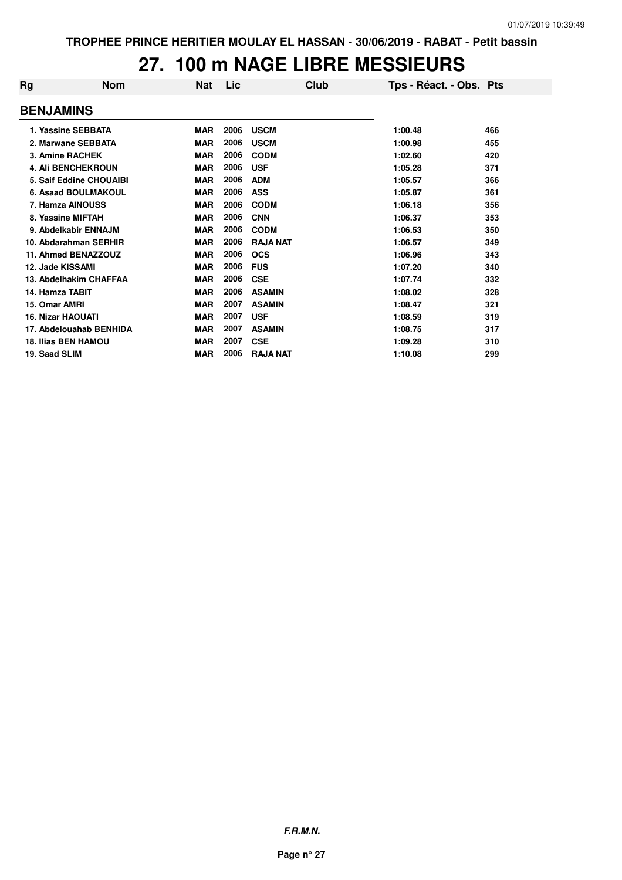## **27. 100 m NAGE LIBRE MESSIEURS**

| Rg                       | <b>Nom</b>                 | Nat        | Lic  | Club            | Tps - Réact. - Obs. Pts |     |
|--------------------------|----------------------------|------------|------|-----------------|-------------------------|-----|
| <b>BENJAMINS</b>         |                            |            |      |                 |                         |     |
|                          | 1. Yassine SEBBATA         | <b>MAR</b> | 2006 | <b>USCM</b>     | 1:00.48                 | 466 |
|                          | 2. Marwane SEBBATA         | <b>MAR</b> | 2006 | <b>USCM</b>     | 1:00.98                 | 455 |
|                          | 3. Amine RACHEK            | <b>MAR</b> | 2006 | <b>CODM</b>     | 1:02.60                 | 420 |
|                          | <b>4. Ali BENCHEKROUN</b>  | <b>MAR</b> | 2006 | <b>USF</b>      | 1:05.28                 | 371 |
|                          | 5. Saif Eddine CHOUAIBI    | <b>MAR</b> | 2006 | <b>ADM</b>      | 1:05.57                 | 366 |
|                          | 6. Asaad BOULMAKOUL        | <b>MAR</b> | 2006 | <b>ASS</b>      | 1:05.87                 | 361 |
|                          | 7. Hamza AINOUSS           | <b>MAR</b> | 2006 | <b>CODM</b>     | 1:06.18                 | 356 |
|                          | 8. Yassine MIFTAH          | <b>MAR</b> | 2006 | <b>CNN</b>      | 1:06.37                 | 353 |
|                          | 9. Abdelkabir ENNAJM       | <b>MAR</b> | 2006 | <b>CODM</b>     | 1:06.53                 | 350 |
|                          | 10. Abdarahman SERHIR      | <b>MAR</b> | 2006 | <b>RAJA NAT</b> | 1:06.57                 | 349 |
|                          | 11. Ahmed BENAZZOUZ        | <b>MAR</b> | 2006 | <b>OCS</b>      | 1:06.96                 | 343 |
| 12. Jade KISSAMI         |                            | <b>MAR</b> | 2006 | <b>FUS</b>      | 1:07.20                 | 340 |
|                          | 13. Abdelhakim CHAFFAA     | <b>MAR</b> | 2006 | <b>CSE</b>      | 1:07.74                 | 332 |
| 14. Hamza TABIT          |                            | <b>MAR</b> | 2006 | <b>ASAMIN</b>   | 1:08.02                 | 328 |
| 15. Omar AMRI            |                            | <b>MAR</b> | 2007 | <b>ASAMIN</b>   | 1:08.47                 | 321 |
| <b>16. Nizar HAOUATI</b> |                            | <b>MAR</b> | 2007 | <b>USF</b>      | 1:08.59                 | 319 |
|                          | 17. Abdelouahab BENHIDA    | <b>MAR</b> | 2007 | <b>ASAMIN</b>   | 1:08.75                 | 317 |
|                          | <b>18. Ilias BEN HAMOU</b> | <b>MAR</b> | 2007 | <b>CSE</b>      | 1:09.28                 | 310 |
| 19. Saad SLIM            |                            | <b>MAR</b> | 2006 | <b>RAJA NAT</b> | 1:10.08                 | 299 |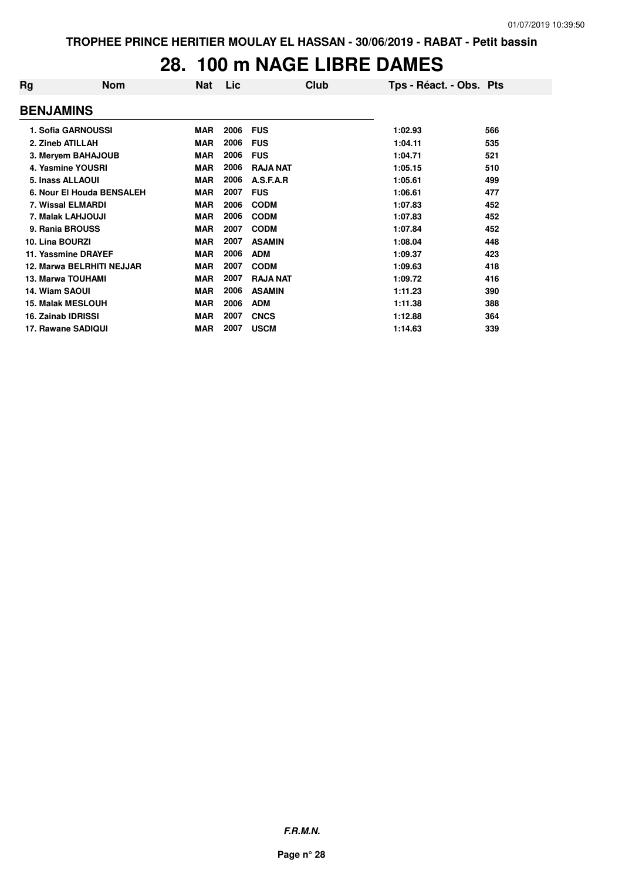#### **28. 100 m NAGE LIBRE DAMES**

| Rg                    | <b>Nom</b>                | Nat        | Lic  | Club            | Tps - Réact. - Obs. Pts |     |
|-----------------------|---------------------------|------------|------|-----------------|-------------------------|-----|
| <b>BENJAMINS</b>      |                           |            |      |                 |                         |     |
|                       | 1. Sofia GARNOUSSI        | <b>MAR</b> | 2006 | <b>FUS</b>      | 1:02.93                 | 566 |
|                       | 2. Zineb ATILLAH          | <b>MAR</b> | 2006 | <b>FUS</b>      | 1:04.11                 | 535 |
|                       | 3. Meryem BAHAJOUB        | <b>MAR</b> | 2006 | <b>FUS</b>      | 1:04.71                 | 521 |
|                       | 4. Yasmine YOUSRI         | <b>MAR</b> | 2006 | <b>RAJA NAT</b> | 1:05.15                 | 510 |
|                       | 5. Inass ALLAOUI          | <b>MAR</b> | 2006 | A.S.F.A.R       | 1:05.61                 | 499 |
|                       | 6. Nour El Houda BENSALEH | <b>MAR</b> | 2007 | <b>FUS</b>      | 1:06.61                 | 477 |
|                       | <b>7. Wissal ELMARDI</b>  | <b>MAR</b> | 2006 | <b>CODM</b>     | 1:07.83                 | 452 |
|                       | 7. Malak LAHJOUJI         | <b>MAR</b> | 2006 | <b>CODM</b>     | 1:07.83                 | 452 |
|                       | 9. Rania BROUSS           | <b>MAR</b> | 2007 | <b>CODM</b>     | 1:07.84                 | 452 |
| 10. Lina BOURZI       |                           | <b>MAR</b> | 2007 | <b>ASAMIN</b>   | 1:08.04                 | 448 |
|                       | 11. Yassmine DRAYEF       | <b>MAR</b> | 2006 | <b>ADM</b>      | 1:09.37                 | 423 |
|                       | 12. Marwa BELRHITI NEJJAR | <b>MAR</b> | 2007 | <b>CODM</b>     | 1:09.63                 | 418 |
|                       | <b>13. Marwa TOUHAMI</b>  | <b>MAR</b> | 2007 | <b>RAJA NAT</b> | 1:09.72                 | 416 |
| <b>14. Wiam SAOUI</b> |                           | <b>MAR</b> | 2006 | <b>ASAMIN</b>   | 1:11.23                 | 390 |
|                       | <b>15. Malak MESLOUH</b>  | <b>MAR</b> | 2006 | <b>ADM</b>      | 1:11.38                 | 388 |
|                       | 16. Zainab IDRISSI        | <b>MAR</b> | 2007 | <b>CNCS</b>     | 1:12.88                 | 364 |
|                       | 17. Rawane SADIQUI        | <b>MAR</b> | 2007 | <b>USCM</b>     | 1:14.63                 | 339 |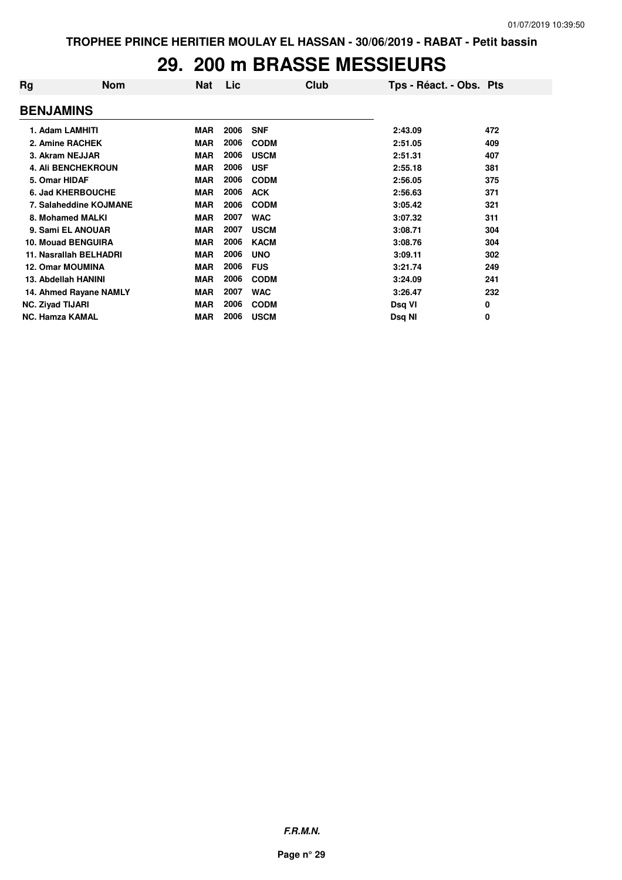### **29. 200 m BRASSE MESSIEURS**

| Rg                        | <b>Nom</b> | <b>Nat</b> | Lic  | Club        | Tps - Réact. - Obs. Pts |     |
|---------------------------|------------|------------|------|-------------|-------------------------|-----|
| <b>BENJAMINS</b>          |            |            |      |             |                         |     |
| 1. Adam LAMHITI           |            | <b>MAR</b> | 2006 | <b>SNF</b>  | 2:43.09                 | 472 |
| 2. Amine RACHEK           |            | <b>MAR</b> | 2006 | <b>CODM</b> | 2:51.05                 | 409 |
| 3. Akram NEJJAR           |            | <b>MAR</b> | 2006 | <b>USCM</b> | 2:51.31                 | 407 |
| <b>4. Ali BENCHEKROUN</b> |            | MAR        | 2006 | <b>USF</b>  | 2:55.18                 | 381 |
| 5. Omar HIDAF             |            | <b>MAR</b> | 2006 | <b>CODM</b> | 2:56.05                 | 375 |
| 6. Jad KHERBOUCHE         |            | <b>MAR</b> | 2006 | <b>ACK</b>  | 2:56.63                 | 371 |
| 7. Salaheddine KOJMANE    |            | <b>MAR</b> | 2006 | <b>CODM</b> | 3:05.42                 | 321 |
| 8. Mohamed MALKI          |            | <b>MAR</b> | 2007 | <b>WAC</b>  | 3:07.32                 | 311 |
| 9. Sami EL ANOUAR         |            | <b>MAR</b> | 2007 | <b>USCM</b> | 3:08.71                 | 304 |
| <b>10. Mouad BENGUIRA</b> |            | <b>MAR</b> | 2006 | <b>KACM</b> | 3:08.76                 | 304 |
| 11. Nasrallah BELHADRI    |            | <b>MAR</b> | 2006 | <b>UNO</b>  | 3:09.11                 | 302 |
| <b>12. Omar MOUMINA</b>   |            | <b>MAR</b> | 2006 | <b>FUS</b>  | 3:21.74                 | 249 |
| 13. Abdellah HANINI       |            | <b>MAR</b> | 2006 | <b>CODM</b> | 3:24.09                 | 241 |
| 14. Ahmed Rayane NAMLY    |            | MAR        | 2007 | <b>WAC</b>  | 3:26.47                 | 232 |
| <b>NC. Ziyad TIJARI</b>   |            | <b>MAR</b> | 2006 | <b>CODM</b> | Dsq VI                  | 0   |
| <b>NC. Hamza KAMAL</b>    |            | <b>MAR</b> | 2006 | <b>USCM</b> | Dsq NI                  | 0   |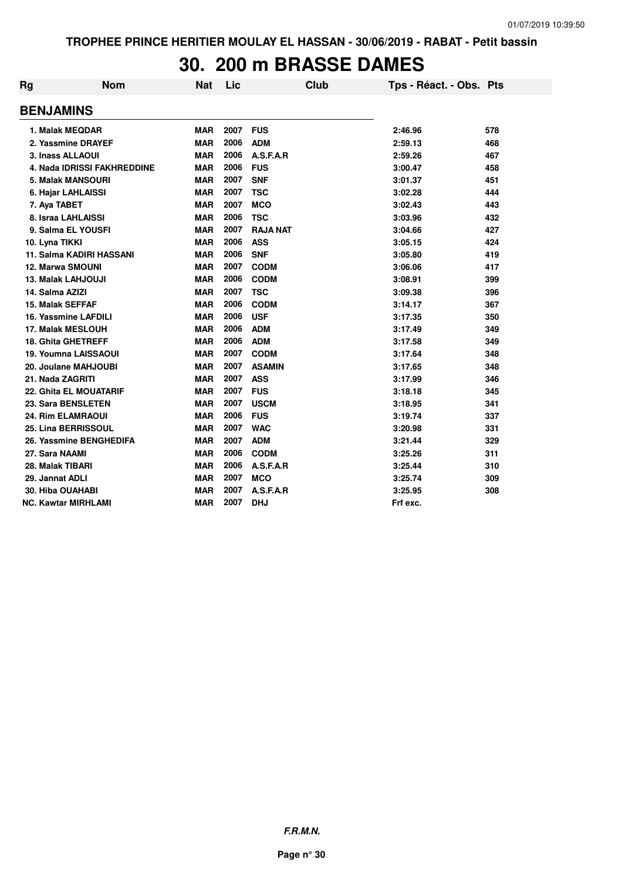# **30. 200 m BRASSE DAMES**

| Rg                      | <b>Nom</b>                         | <b>Nat</b> | Lic  | Club            | Tps - Réact. - Obs. Pts |     |
|-------------------------|------------------------------------|------------|------|-----------------|-------------------------|-----|
| <b>BENJAMINS</b>        |                                    |            |      |                 |                         |     |
|                         | 1. Malak MEQDAR                    | <b>MAR</b> | 2007 | <b>FUS</b>      | 2:46.96                 | 578 |
|                         | 2. Yassmine DRAYEF                 | <b>MAR</b> | 2006 | <b>ADM</b>      | 2:59.13                 | 468 |
|                         | 3. Inass ALLAOUI                   | <b>MAR</b> | 2006 | A.S.F.A.R       | 2:59.26                 | 467 |
|                         | <b>4. Nada IDRISSI FAKHREDDINE</b> | <b>MAR</b> | 2006 | <b>FUS</b>      | 3:00.47                 | 458 |
|                         | <b>5. Malak MANSOURI</b>           | <b>MAR</b> | 2007 | <b>SNF</b>      | 3:01.37                 | 451 |
|                         | 6. Hajar LAHLAISSI                 | <b>MAR</b> | 2007 | <b>TSC</b>      | 3:02.28                 | 444 |
| 7. Aya TABET            |                                    | <b>MAR</b> | 2007 | <b>MCO</b>      | 3:02.43                 | 443 |
|                         | 8. Israa LAHLAISSI                 | <b>MAR</b> | 2006 | <b>TSC</b>      | 3:03.96                 | 432 |
|                         | 9. Salma EL YOUSFI                 | <b>MAR</b> | 2007 | <b>RAJA NAT</b> | 3:04.66                 | 427 |
| 10. Lyna TIKKI          |                                    | <b>MAR</b> | 2006 | <b>ASS</b>      | 3:05.15                 | 424 |
|                         | 11. Salma KADIRI HASSANI           | <b>MAR</b> | 2006 | <b>SNF</b>      | 3:05.80                 | 419 |
|                         | <b>12. Marwa SMOUNI</b>            | <b>MAR</b> | 2007 | <b>CODM</b>     | 3:06.06                 | 417 |
|                         | <b>13. Malak LAHJOUJI</b>          | <b>MAR</b> | 2006 | <b>CODM</b>     | 3:08.91                 | 399 |
| 14. Salma AZIZI         |                                    | <b>MAR</b> | 2007 | <b>TSC</b>      | 3:09.38                 | 396 |
| <b>15. Malak SEFFAF</b> |                                    | <b>MAR</b> | 2006 | <b>CODM</b>     | 3:14.17                 | 367 |
|                         | 16. Yassmine LAFDILI               | <b>MAR</b> | 2006 | <b>USF</b>      | 3:17.35                 | 350 |
|                         | 17. Malak MESLOUH                  | <b>MAR</b> | 2006 | <b>ADM</b>      | 3:17.49                 | 349 |
|                         | <b>18. Ghita GHETREFF</b>          | <b>MAR</b> | 2006 | <b>ADM</b>      | 3:17.58                 | 349 |
|                         | <b>19. Youmna LAISSAOUI</b>        | <b>MAR</b> | 2007 | <b>CODM</b>     | 3:17.64                 | 348 |
|                         | 20. Joulane MAHJOUBI               | <b>MAR</b> | 2007 | <b>ASAMIN</b>   | 3:17.65                 | 348 |
| 21. Nada ZAGRITI        |                                    | <b>MAR</b> | 2007 | <b>ASS</b>      | 3:17.99                 | 346 |
|                         | <b>22. Ghita EL MOUATARIF</b>      | <b>MAR</b> | 2007 | <b>FUS</b>      | 3:18.18                 | 345 |
|                         | 23. Sara BENSLETEN                 | <b>MAR</b> | 2007 | <b>USCM</b>     | 3:18.95                 | 341 |
|                         | <b>24. Rim ELAMRAOUI</b>           | <b>MAR</b> | 2006 | <b>FUS</b>      | 3:19.74                 | 337 |
|                         | 25. Lina BERRISSOUL                | <b>MAR</b> | 2007 | <b>WAC</b>      | 3:20.98                 | 331 |
|                         | 26. Yassmine BENGHEDIFA            | <b>MAR</b> | 2007 | <b>ADM</b>      | 3:21.44                 | 329 |
| 27. Sara NAAMI          |                                    | <b>MAR</b> | 2006 | <b>CODM</b>     | 3:25.26                 | 311 |
| 28. Malak TIBARI        |                                    | <b>MAR</b> | 2006 | A.S.F.A.R       | 3:25.44                 | 310 |
| 29. Jannat ADLI         |                                    | <b>MAR</b> | 2007 | <b>MCO</b>      | 3:25.74                 | 309 |
| 30. Hiba OUAHABI        |                                    | <b>MAR</b> | 2007 | A.S.F.A.R       | 3:25.95                 | 308 |
|                         | NC. Kawtar MIRHLAMI                | <b>MAR</b> | 2007 | <b>DHJ</b>      | Frf exc.                |     |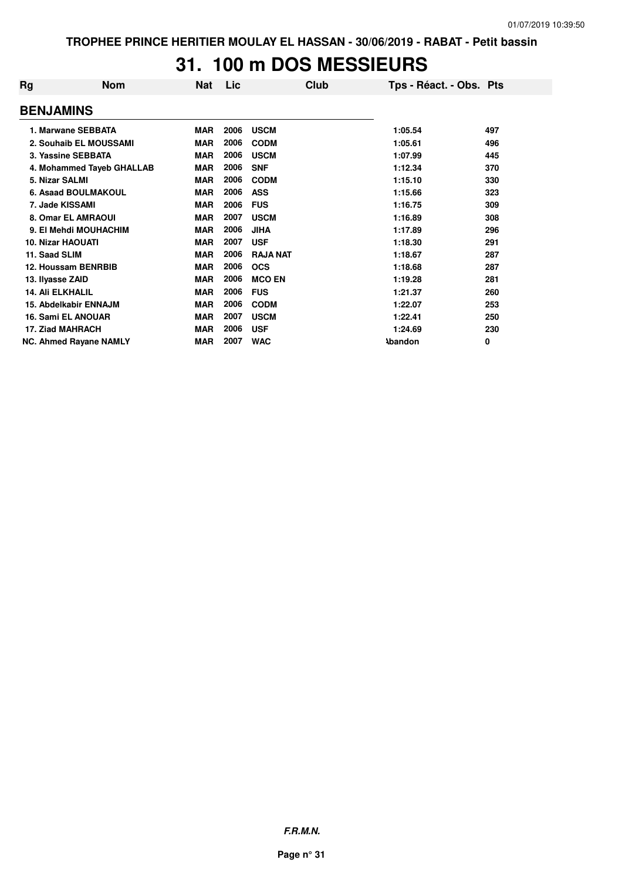# **31. 100 m DOS MESSIEURS**

| Rg                       | <b>Nom</b>                    | <b>Nat</b> | Lic  | Club            | Tps - Réact. - Obs. Pts |     |
|--------------------------|-------------------------------|------------|------|-----------------|-------------------------|-----|
| <b>BENJAMINS</b>         |                               |            |      |                 |                         |     |
|                          | 1. Marwane SEBBATA            | <b>MAR</b> | 2006 | <b>USCM</b>     | 1:05.54                 | 497 |
|                          | 2. Souhaib EL MOUSSAMI        | <b>MAR</b> | 2006 | <b>CODM</b>     | 1:05.61                 | 496 |
|                          | 3. Yassine SEBBATA            | <b>MAR</b> | 2006 | <b>USCM</b>     | 1:07.99                 | 445 |
|                          | 4. Mohammed Tayeb GHALLAB     | <b>MAR</b> | 2006 | <b>SNF</b>      | 1:12.34                 | 370 |
| 5. Nizar SALMI           |                               | <b>MAR</b> | 2006 | <b>CODM</b>     | 1:15.10                 | 330 |
|                          | 6. Asaad BOULMAKOUL           | <b>MAR</b> | 2006 | <b>ASS</b>      | 1:15.66                 | 323 |
| 7. Jade KISSAMI          |                               | <b>MAR</b> | 2006 | <b>FUS</b>      | 1:16.75                 | 309 |
|                          | 8. Omar EL AMRAOUI            | <b>MAR</b> | 2007 | <b>USCM</b>     | 1:16.89                 | 308 |
|                          | 9. El Mehdi MOUHACHIM         | <b>MAR</b> | 2006 | <b>JIHA</b>     | 1:17.89                 | 296 |
| <b>10. Nizar HAOUATI</b> |                               | <b>MAR</b> | 2007 | <b>USF</b>      | 1:18.30                 | 291 |
| 11. Saad SLIM            |                               | <b>MAR</b> | 2006 | <b>RAJA NAT</b> | 1:18.67                 | 287 |
|                          | 12. Houssam BENRBIB           | <b>MAR</b> | 2006 | <b>OCS</b>      | 1:18.68                 | 287 |
| 13. Ilyasse ZAID         |                               | <b>MAR</b> | 2006 | <b>MCO EN</b>   | 1:19.28                 | 281 |
| <b>14. Ali ELKHALIL</b>  |                               | <b>MAR</b> | 2006 | <b>FUS</b>      | 1:21.37                 | 260 |
|                          | <b>15. Abdelkabir ENNAJM</b>  | <b>MAR</b> | 2006 | <b>CODM</b>     | 1:22.07                 | 253 |
|                          | <b>16. Sami EL ANOUAR</b>     | <b>MAR</b> | 2007 | <b>USCM</b>     | 1:22.41                 | 250 |
|                          | 17. Ziad MAHRACH              | <b>MAR</b> | 2006 | <b>USF</b>      | 1:24.69                 | 230 |
|                          | <b>NC. Ahmed Rayane NAMLY</b> | <b>MAR</b> | 2007 | <b>WAC</b>      | <b>\bandon</b>          | 0   |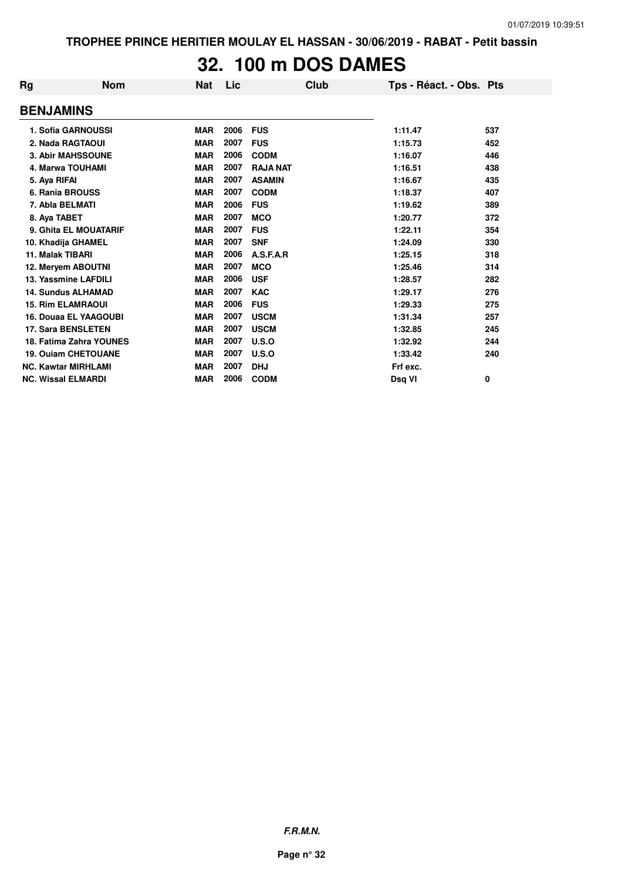# **32. 100 m DOS DAMES**

| Rg                        | <b>Nom</b>                 | <b>Nat</b> | Lic  | Club            | Tps - Réact. - Obs. Pts |     |
|---------------------------|----------------------------|------------|------|-----------------|-------------------------|-----|
| <b>BENJAMINS</b>          |                            |            |      |                 |                         |     |
|                           | 1. Sofia GARNOUSSI         | <b>MAR</b> | 2006 | <b>FUS</b>      | 1:11.47                 | 537 |
|                           | 2. Nada RAGTAOUI           | <b>MAR</b> | 2007 | <b>FUS</b>      | 1:15.73                 | 452 |
|                           | <b>3. Abir MAHSSOUNE</b>   | <b>MAR</b> | 2006 | <b>CODM</b>     | 1:16.07                 | 446 |
|                           | <b>4. Marwa TOUHAMI</b>    | <b>MAR</b> | 2007 | <b>RAJA NAT</b> | 1:16.51                 | 438 |
| 5. Aya RIFAI              |                            | <b>MAR</b> | 2007 | <b>ASAMIN</b>   | 1:16.67                 | 435 |
| 6. Rania BROUSS           |                            | <b>MAR</b> | 2007 | <b>CODM</b>     | 1:18.37                 | 407 |
| 7. Abla BELMATI           |                            | <b>MAR</b> | 2006 | <b>FUS</b>      | 1:19.62                 | 389 |
| 8. Aya TABET              |                            | <b>MAR</b> | 2007 | <b>MCO</b>      | 1:20.77                 | 372 |
|                           | 9. Ghita EL MOUATARIF      | <b>MAR</b> | 2007 | <b>FUS</b>      | 1:22.11                 | 354 |
|                           | 10. Khadija GHAMEL         | <b>MAR</b> | 2007 | <b>SNF</b>      | 1:24.09                 | 330 |
| 11. Malak TIBARI          |                            | <b>MAR</b> | 2006 | A.S.F.A.R       | 1:25.15                 | 318 |
|                           | 12. Meryem ABOUTNI         | <b>MAR</b> | 2007 | <b>MCO</b>      | 1:25.46                 | 314 |
|                           | 13. Yassmine LAFDILI       | <b>MAR</b> | 2006 | <b>USF</b>      | 1:28.57                 | 282 |
|                           | <b>14. Sundus ALHAMAD</b>  | <b>MAR</b> | 2007 | <b>KAC</b>      | 1:29.17                 | 276 |
| <b>15. Rim ELAMRAOUI</b>  |                            | <b>MAR</b> | 2006 | <b>FUS</b>      | 1:29.33                 | 275 |
|                           | 16. Douaa EL YAAGOUBI      | <b>MAR</b> | 2007 | <b>USCM</b>     | 1:31.34                 | 257 |
|                           | <b>17. Sara BENSLETEN</b>  | <b>MAR</b> | 2007 | <b>USCM</b>     | 1:32.85                 | 245 |
|                           | 18. Fatima Zahra YOUNES    | <b>MAR</b> | 2007 | U.S.O           | 1:32.92                 | 244 |
|                           | <b>19. Ouiam CHETOUANE</b> | <b>MAR</b> | 2007 | U.S.O           | 1:33.42                 | 240 |
|                           | <b>NC. Kawtar MIRHLAMI</b> | <b>MAR</b> | 2007 | <b>DHJ</b>      | Frf exc.                |     |
| <b>NC. Wissal ELMARDI</b> |                            | <b>MAR</b> | 2006 | <b>CODM</b>     | Dsq VI                  | 0   |
|                           |                            |            |      |                 |                         |     |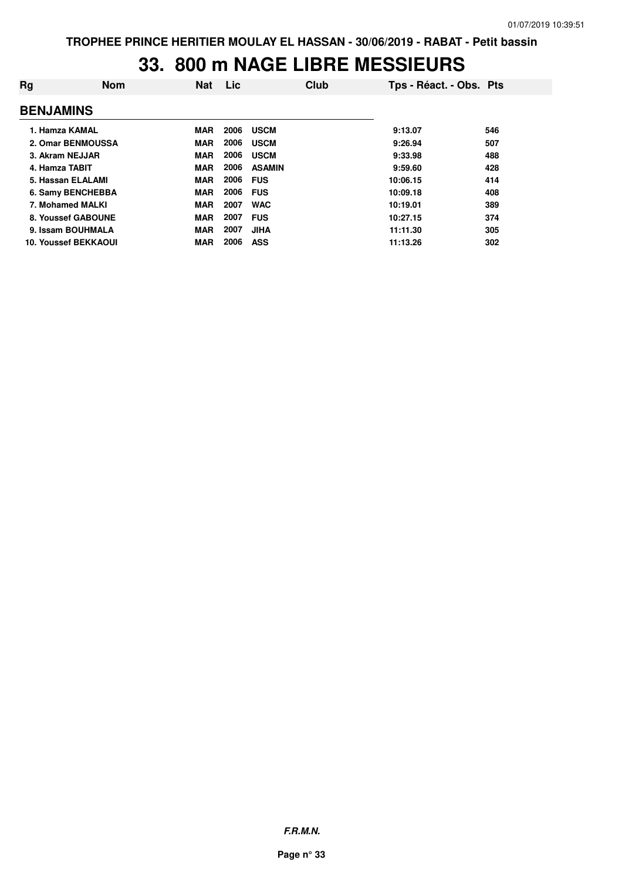# **33. 800 m NAGE LIBRE MESSIEURS**

| Rg               | <b>Nom</b>                  | <b>Nat</b> | Lic  | Club          | Tps - Réact. - Obs. Pts |     |
|------------------|-----------------------------|------------|------|---------------|-------------------------|-----|
| <b>BENJAMINS</b> |                             |            |      |               |                         |     |
| 1. Hamza KAMAL   |                             | <b>MAR</b> | 2006 | <b>USCM</b>   | 9:13.07                 | 546 |
|                  | 2. Omar BENMOUSSA           | <b>MAR</b> | 2006 | <b>USCM</b>   | 9:26.94                 | 507 |
| 3. Akram NEJJAR  |                             | <b>MAR</b> | 2006 | <b>USCM</b>   | 9:33.98                 | 488 |
| 4. Hamza TABIT   |                             | <b>MAR</b> | 2006 | <b>ASAMIN</b> | 9:59.60                 | 428 |
|                  | 5. Hassan ELALAMI           | <b>MAR</b> | 2006 | <b>FUS</b>    | 10:06.15                | 414 |
|                  | 6. Samy BENCHEBBA           | <b>MAR</b> | 2006 | <b>FUS</b>    | 10:09.18                | 408 |
| 7. Mohamed MALKI |                             | MAR        | 2007 | <b>WAC</b>    | 10:19.01                | 389 |
|                  | 8. Youssef GABOUNE          | <b>MAR</b> | 2007 | <b>FUS</b>    | 10:27.15                | 374 |
|                  | 9. Issam BOUHMALA           | <b>MAR</b> | 2007 | <b>JIHA</b>   | 11:11.30                | 305 |
|                  | <b>10. Youssef BEKKAOUI</b> | <b>MAR</b> | 2006 | <b>ASS</b>    | 11:13.26                | 302 |